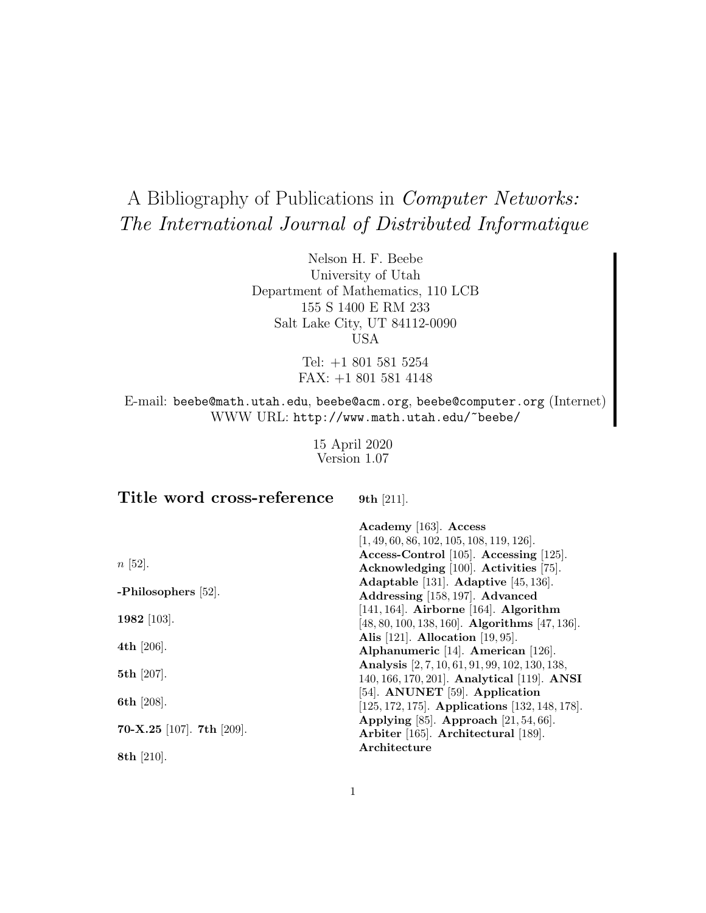# A Bibliography of Publications in Computer Networks: The International Journal of Distributed Informatique

Nelson H. F. Beebe University of Utah Department of Mathematics, 110 LCB 155 S 1400 E RM 233 Salt Lake City, UT 84112-0090 USA

> Tel: +1 801 581 5254 FAX: +1 801 581 4148

E-mail: beebe@math.utah.edu, beebe@acm.org, beebe@computer.org (Internet) WWW URL: http://www.math.utah.edu/~beebe/

> 15 April 2020 Version 1.07

**Title word cross-reference**

**9th** [211].

|                           | Academy [163]. Access<br>$[1, 49, 60, 86, 102, 105, 108, 119, 126].$                                |
|---------------------------|-----------------------------------------------------------------------------------------------------|
| $n \; [52]$ .             | Access-Control [105]. Accessing [125].<br>Acknowledging [100]. Activities [75].                     |
| -Philosophers $[52]$ .    | Adaptable [131]. Adaptive [45, 136].<br>Addressing [158, 197]. Advanced                             |
| 1982 [103].               | $[141, 164]$ . Airborne $[164]$ . Algorithm<br>$[48, 80, 100, 138, 160]$ . Algorithms $[47, 136]$ . |
| 4th $[206]$ .             | Alis [121]. Allocation [19, 95].<br>Alphanumeric [14]. American [126].                              |
| 5th $[207]$ .             | Analysis [2, 7, 10, 61, 91, 99, 102, 130, 138,<br>140, 166, 170, 201. Analytical [119]. ANSI        |
| 6th [208].                | [54]. ANUNET [59]. Application<br>$[125, 172, 175]$ . Applications $[132, 148, 178]$ .              |
| 70-X.25 [107]. 7th [209]. | Applying [85]. Approach $[21, 54, 66]$ .<br>Arbiter [165]. Architectural [189].                     |
| 8th $[210]$ .             | Architecture                                                                                        |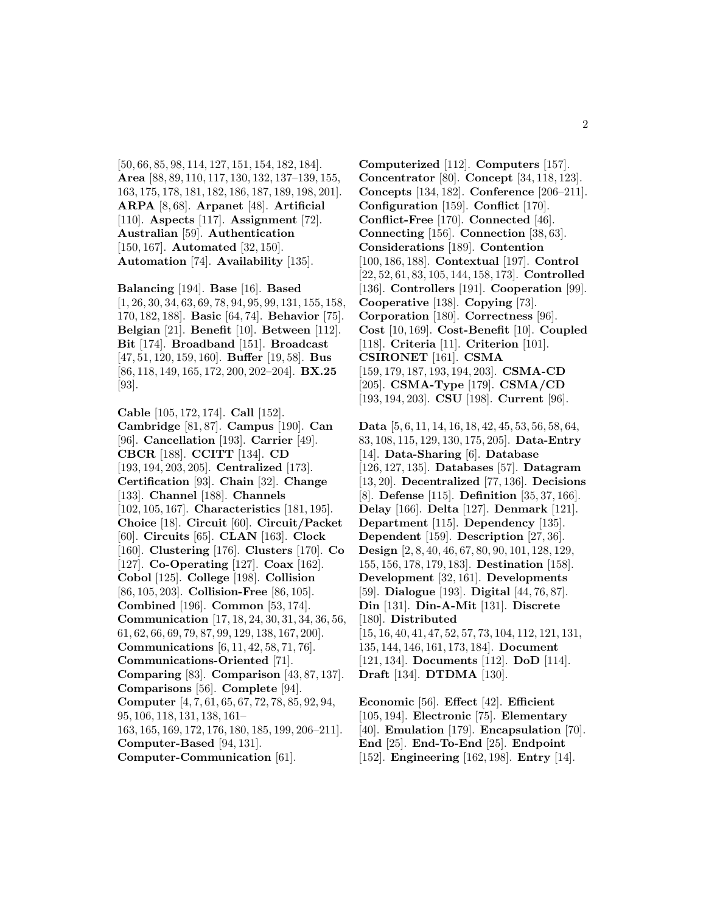[50, 66, 85, 98, 114, 127, 151, 154, 182, 184]. **Area** [88, 89, 110, 117, 130, 132, 137–139, 155, 163, 175, 178, 181, 182, 186, 187, 189, 198, 201]. **ARPA** [8, 68]. **Arpanet** [48]. **Artificial** [110]. **Aspects** [117]. **Assignment** [72]. **Australian** [59]. **Authentication** [150, 167]. **Automated** [32, 150]. **Automation** [74]. **Availability** [135].

**Balancing** [194]. **Base** [16]. **Based** [1, 26, 30, 34, 63, 69, 78, 94, 95, 99, 131, 155, 158, 170, 182, 188]. **Basic** [64, 74]. **Behavior** [75]. **Belgian** [21]. **Benefit** [10]. **Between** [112]. **Bit** [174]. **Broadband** [151]. **Broadcast** [47, 51, 120, 159, 160]. **Buffer** [19, 58]. **Bus** [86, 118, 149, 165, 172, 200, 202–204]. **BX.25** [93].

**Cable** [105, 172, 174]. **Call** [152]. **Cambridge** [81, 87]. **Campus** [190]. **Can** [96]. **Cancellation** [193]. **Carrier** [49]. **CBCR** [188]. **CCITT** [134]. **CD** [193, 194, 203, 205]. **Centralized** [173]. **Certification** [93]. **Chain** [32]. **Change** [133]. **Channel** [188]. **Channels** [102, 105, 167]. **Characteristics** [181, 195]. **Choice** [18]. **Circuit** [60]. **Circuit/Packet** [60]. **Circuits** [65]. **CLAN** [163]. **Clock** [160]. **Clustering** [176]. **Clusters** [170]. **Co** [127]. **Co-Operating** [127]. **Coax** [162]. **Cobol** [125]. **College** [198]. **Collision** [86, 105, 203]. **Collision-Free** [86, 105]. **Combined** [196]. **Common** [53, 174]. **Communication** [17, 18, 24, 30, 31, 34, 36, 56, 61, 62, 66, 69, 79, 87, 99, 129, 138, 167, 200]. **Communications** [6, 11, 42, 58, 71, 76]. **Communications-Oriented** [71]. **Comparing** [83]. **Comparison** [43, 87, 137]. **Comparisons** [56]. **Complete** [94]. **Computer** [4, 7, 61, 65, 67, 72, 78, 85, 92, 94, 95, 106, 118, 131, 138, 161– 163, 165, 169, 172, 176, 180, 185, 199, 206–211]. **Computer-Based** [94, 131]. **Computer-Communication** [61].

**Computerized** [112]. **Computers** [157]. **Concentrator** [80]. **Concept** [34, 118, 123]. **Concepts** [134, 182]. **Conference** [206–211]. **Configuration** [159]. **Conflict** [170]. **Conflict-Free** [170]. **Connected** [46]. **Connecting** [156]. **Connection** [38, 63]. **Considerations** [189]. **Contention** [100, 186, 188]. **Contextual** [197]. **Control** [22, 52, 61, 83, 105, 144, 158, 173]. **Controlled** [136]. **Controllers** [191]. **Cooperation** [99]. **Cooperative** [138]. **Copying** [73]. **Corporation** [180]. **Correctness** [96]. **Cost** [10, 169]. **Cost-Benefit** [10]. **Coupled** [118]. **Criteria** [11]. **Criterion** [101]. **CSIRONET** [161]. **CSMA** [159, 179, 187, 193, 194, 203]. **CSMA-CD** [205]. **CSMA-Type** [179]. **CSMA/CD** [193, 194, 203]. **CSU** [198]. **Current** [96].

**Data** [5, 6, 11, 14, 16, 18, 42, 45, 53, 56, 58, 64, 83, 108, 115, 129, 130, 175, 205]. **Data-Entry** [14]. **Data-Sharing** [6]. **Database** [126, 127, 135]. **Databases** [57]. **Datagram** [13, 20]. **Decentralized** [77, 136]. **Decisions** [8]. **Defense** [115]. **Definition** [35, 37, 166]. **Delay** [166]. **Delta** [127]. **Denmark** [121]. **Department** [115]. **Dependency** [135]. **Dependent** [159]. **Description** [27, 36]. **Design** [2, 8, 40, 46, 67, 80, 90, 101, 128, 129, 155, 156, 178, 179, 183]. **Destination** [158]. **Development** [32, 161]. **Developments** [59]. **Dialogue** [193]. **Digital** [44, 76, 87]. **Din** [131]. **Din-A-Mit** [131]. **Discrete** [180]. **Distributed** [15, 16, 40, 41, 47, 52, 57, 73, 104, 112, 121, 131, 135, 144, 146, 161, 173, 184]. **Document** [121, 134]. **Documents** [112]. **DoD** [114]. **Draft** [134]. **DTDMA** [130].

**Economic** [56]. **Effect** [42]. **Efficient** [105, 194]. **Electronic** [75]. **Elementary** [40]. **Emulation** [179]. **Encapsulation** [70]. **End** [25]. **End-To-End** [25]. **Endpoint** [152]. **Engineering** [162, 198]. **Entry** [14].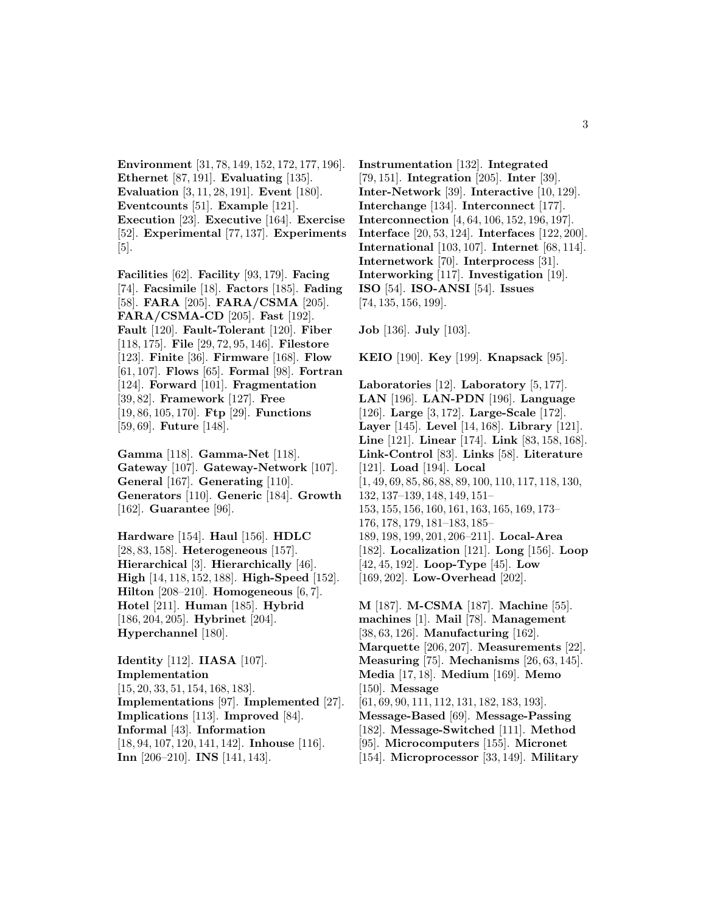**Environment** [31, 78, 149, 152, 172, 177, 196]. **Ethernet** [87, 191]. **Evaluating** [135]. **Evaluation** [3, 11, 28, 191]. **Event** [180]. **Eventcounts** [51]. **Example** [121]. **Execution** [23]. **Executive** [164]. **Exercise** [52]. **Experimental** [77, 137]. **Experiments** [5].

**Facilities** [62]. **Facility** [93, 179]. **Facing** [74]. **Facsimile** [18]. **Factors** [185]. **Fading** [58]. **FARA** [205]. **FARA/CSMA** [205]. **FARA/CSMA-CD** [205]. **Fast** [192]. **Fault** [120]. **Fault-Tolerant** [120]. **Fiber** [118, 175]. **File** [29, 72, 95, 146]. **Filestore** [123]. **Finite** [36]. **Firmware** [168]. **Flow** [61, 107]. **Flows** [65]. **Formal** [98]. **Fortran** [124]. **Forward** [101]. **Fragmentation** [39, 82]. **Framework** [127]. **Free** [19, 86, 105, 170]. **Ftp** [29]. **Functions** [59, 69]. **Future** [148].

**Gamma** [118]. **Gamma-Net** [118]. **Gateway** [107]. **Gateway-Network** [107]. **General** [167]. **Generating** [110]. **Generators** [110]. **Generic** [184]. **Growth** [162]. **Guarantee** [96].

**Hardware** [154]. **Haul** [156]. **HDLC** [28, 83, 158]. **Heterogeneous** [157]. **Hierarchical** [3]. **Hierarchically** [46]. **High** [14, 118, 152, 188]. **High-Speed** [152]. **Hilton** [208–210]. **Homogeneous** [6, 7]. **Hotel** [211]. **Human** [185]. **Hybrid** [186, 204, 205]. **Hybrinet** [204]. **Hyperchannel** [180].

**Identity** [112]. **IIASA** [107]. **Implementation** [15, 20, 33, 51, 154, 168, 183]. **Implementations** [97]. **Implemented** [27]. **Implications** [113]. **Improved** [84]. **Informal** [43]. **Information** [18, 94, 107, 120, 141, 142]. **Inhouse** [116]. **Inn** [206–210]. **INS** [141, 143].

**Instrumentation** [132]. **Integrated** [79, 151]. **Integration** [205]. **Inter** [39]. **Inter-Network** [39]. **Interactive** [10, 129]. **Interchange** [134]. **Interconnect** [177]. **Interconnection** [4, 64, 106, 152, 196, 197]. **Interface** [20, 53, 124]. **Interfaces** [122, 200]. **International** [103, 107]. **Internet** [68, 114]. **Internetwork** [70]. **Interprocess** [31]. **Interworking** [117]. **Investigation** [19]. **ISO** [54]. **ISO-ANSI** [54]. **Issues** [74, 135, 156, 199].

**Job** [136]. **July** [103].

**KEIO** [190]. **Key** [199]. **Knapsack** [95].

**Laboratories** [12]. **Laboratory** [5, 177]. **LAN** [196]. **LAN-PDN** [196]. **Language** [126]. **Large** [3, 172]. **Large-Scale** [172]. **Layer** [145]. **Level** [14, 168]. **Library** [121]. **Line** [121]. **Linear** [174]. **Link** [83, 158, 168]. **Link-Control** [83]. **Links** [58]. **Literature** [121]. **Load** [194]. **Local** [1, 49, 69, 85, 86, 88, 89, 100, 110, 117, 118, 130, 132, 137–139, 148, 149, 151– 153, 155, 156, 160, 161, 163, 165, 169, 173– 176, 178, 179, 181–183, 185– 189, 198, 199, 201, 206–211]. **Local-Area** [182]. **Localization** [121]. **Long** [156]. **Loop** [42, 45, 192]. **Loop-Type** [45]. **Low** [169, 202]. **Low-Overhead** [202].

**M** [187]. **M-CSMA** [187]. **Machine** [55]. **machines** [1]. **Mail** [78]. **Management** [38, 63, 126]. **Manufacturing** [162]. **Marquette** [206, 207]. **Measurements** [22]. **Measuring** [75]. **Mechanisms** [26, 63, 145]. **Media** [17, 18]. **Medium** [169]. **Memo** [150]. **Message** [61, 69, 90, 111, 112, 131, 182, 183, 193]. **Message-Based** [69]. **Message-Passing** [182]. **Message-Switched** [111]. **Method** [95]. **Microcomputers** [155]. **Micronet** [154]. **Microprocessor** [33, 149]. **Military**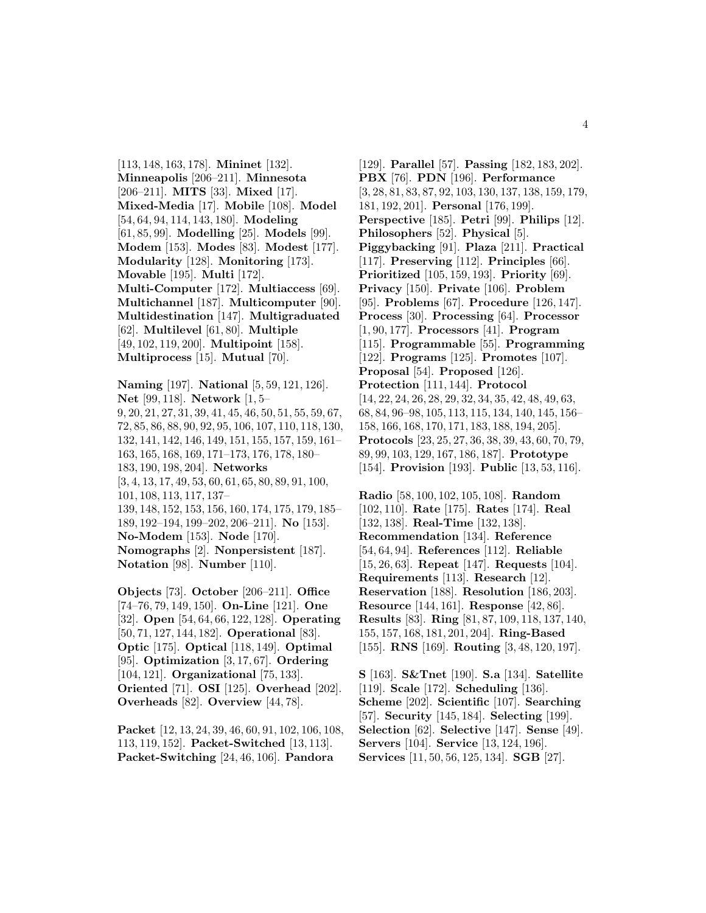[113, 148, 163, 178]. **Mininet** [132]. **Minneapolis** [206–211]. **Minnesota** [206–211]. **MITS** [33]. **Mixed** [17]. **Mixed-Media** [17]. **Mobile** [108]. **Model** [54, 64, 94, 114, 143, 180]. **Modeling** [61, 85, 99]. **Modelling** [25]. **Models** [99]. **Modem** [153]. **Modes** [83]. **Modest** [177]. **Modularity** [128]. **Monitoring** [173]. **Movable** [195]. **Multi** [172]. **Multi-Computer** [172]. **Multiaccess** [69]. **Multichannel** [187]. **Multicomputer** [90]. **Multidestination** [147]. **Multigraduated** [62]. **Multilevel** [61, 80]. **Multiple** [49, 102, 119, 200]. **Multipoint** [158]. **Multiprocess** [15]. **Mutual** [70].

**Naming** [197]. **National** [5, 59, 121, 126]. **Net** [99, 118]. **Network** [1, 5– 9, 20, 21, 27, 31, 39, 41, 45, 46, 50, 51, 55, 59, 67, 72, 85, 86, 88, 90, 92, 95, 106, 107, 110, 118, 130, 132, 141, 142, 146, 149, 151, 155, 157, 159, 161– 163, 165, 168, 169, 171–173, 176, 178, 180– 183, 190, 198, 204]. **Networks** [3, 4, 13, 17, 49, 53, 60, 61, 65, 80, 89, 91, 100, 101, 108, 113, 117, 137– 139, 148, 152, 153, 156, 160, 174, 175, 179, 185– 189, 192–194, 199–202, 206–211]. **No** [153]. **No-Modem** [153]. **Node** [170]. **Nomographs** [2]. **Nonpersistent** [187]. **Notation** [98]. **Number** [110].

**Objects** [73]. **October** [206–211]. **Office** [74–76, 79, 149, 150]. **On-Line** [121]. **One** [32]. **Open** [54, 64, 66, 122, 128]. **Operating** [50, 71, 127, 144, 182]. **Operational** [83]. **Optic** [175]. **Optical** [118, 149]. **Optimal** [95]. **Optimization** [3, 17, 67]. **Ordering** [104, 121]. **Organizational** [75, 133]. **Oriented** [71]. **OSI** [125]. **Overhead** [202]. **Overheads** [82]. **Overview** [44, 78].

**Packet** [12, 13, 24, 39, 46, 60, 91, 102, 106, 108, 113, 119, 152]. **Packet-Switched** [13, 113]. **Packet-Switching** [24, 46, 106]. **Pandora**

[129]. **Parallel** [57]. **Passing** [182, 183, 202]. **PBX** [76]. **PDN** [196]. **Performance** [3, 28, 81, 83, 87, 92, 103, 130, 137, 138, 159, 179, 181, 192, 201]. **Personal** [176, 199]. **Perspective** [185]. **Petri** [99]. **Philips** [12]. **Philosophers** [52]. **Physical** [5]. **Piggybacking** [91]. **Plaza** [211]. **Practical** [117]. **Preserving** [112]. **Principles** [66]. **Prioritized** [105, 159, 193]. **Priority** [69]. **Privacy** [150]. **Private** [106]. **Problem** [95]. **Problems** [67]. **Procedure** [126, 147]. **Process** [30]. **Processing** [64]. **Processor** [1, 90, 177]. **Processors** [41]. **Program** [115]. **Programmable** [55]. **Programming** [122]. **Programs** [125]. **Promotes** [107]. **Proposal** [54]. **Proposed** [126]. **Protection** [111, 144]. **Protocol** [14, 22, 24, 26, 28, 29, 32, 34, 35, 42, 48, 49, 63, 68, 84, 96–98, 105, 113, 115, 134, 140, 145, 156– 158, 166, 168, 170, 171, 183, 188, 194, 205]. **Protocols** [23, 25, 27, 36, 38, 39, 43, 60, 70, 79, 89, 99, 103, 129, 167, 186, 187]. **Prototype** [154]. **Provision** [193]. **Public** [13, 53, 116].

**Radio** [58, 100, 102, 105, 108]. **Random** [102, 110]. **Rate** [175]. **Rates** [174]. **Real** [132, 138]. **Real-Time** [132, 138]. **Recommendation** [134]. **Reference** [54, 64, 94]. **References** [112]. **Reliable** [15, 26, 63]. **Repeat** [147]. **Requests** [104]. **Requirements** [113]. **Research** [12]. **Reservation** [188]. **Resolution** [186, 203]. **Resource** [144, 161]. **Response** [42, 86]. **Results** [83]. **Ring** [81, 87, 109, 118, 137, 140, 155, 157, 168, 181, 201, 204]. **Ring-Based** [155]. **RNS** [169]. **Routing** [3, 48, 120, 197].

**S** [163]. **S&Tnet** [190]. **S.a** [134]. **Satellite** [119]. **Scale** [172]. **Scheduling** [136]. **Scheme** [202]. **Scientific** [107]. **Searching** [57]. **Security** [145, 184]. **Selecting** [199]. **Selection** [62]. **Selective** [147]. **Sense** [49]. **Servers** [104]. **Service** [13, 124, 196]. **Services** [11, 50, 56, 125, 134]. **SGB** [27].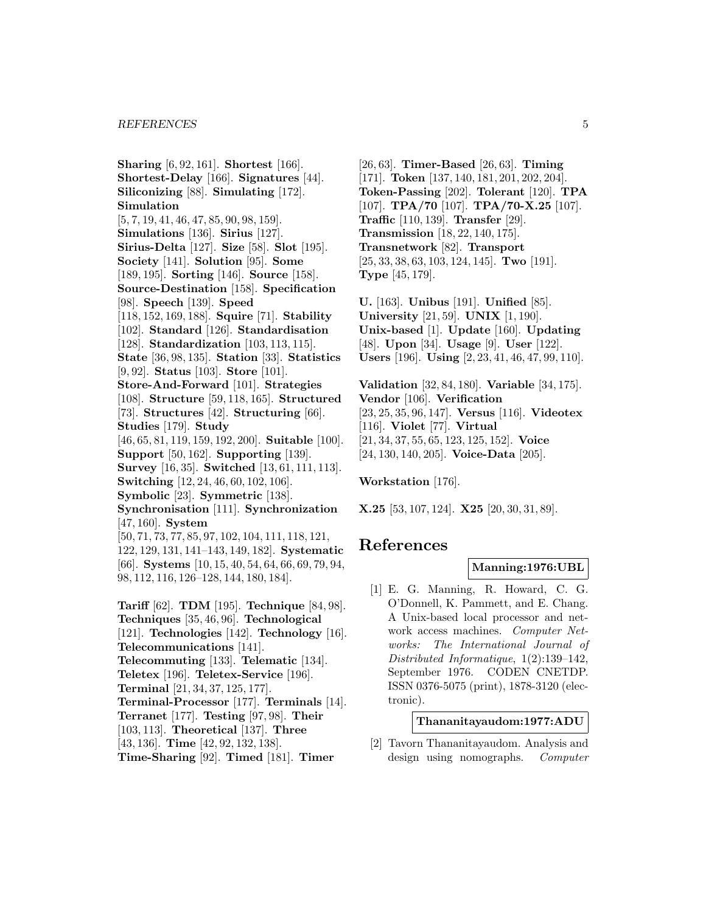#### *REFERENCES* 5

**Sharing** [6, 92, 161]. **Shortest** [166]. **Shortest-Delay** [166]. **Signatures** [44]. **Siliconizing** [88]. **Simulating** [172]. **Simulation** [5, 7, 19, 41, 46, 47, 85, 90, 98, 159]. **Simulations** [136]. **Sirius** [127]. **Sirius-Delta** [127]. **Size** [58]. **Slot** [195]. **Society** [141]. **Solution** [95]. **Some** [189, 195]. **Sorting** [146]. **Source** [158]. **Source-Destination** [158]. **Specification** [98]. **Speech** [139]. **Speed** [118, 152, 169, 188]. **Squire** [71]. **Stability** [102]. **Standard** [126]. **Standardisation** [128]. **Standardization** [103, 113, 115]. **State** [36, 98, 135]. **Station** [33]. **Statistics** [9, 92]. **Status** [103]. **Store** [101]. **Store-And-Forward** [101]. **Strategies** [108]. **Structure** [59, 118, 165]. **Structured** [73]. **Structures** [42]. **Structuring** [66]. **Studies** [179]. **Study** [46, 65, 81, 119, 159, 192, 200]. **Suitable** [100]. **Support** [50, 162]. **Supporting** [139]. **Survey** [16, 35]. **Switched** [13, 61, 111, 113]. **Switching** [12, 24, 46, 60, 102, 106]. **Symbolic** [23]. **Symmetric** [138]. **Synchronisation** [111]. **Synchronization** [47, 160]. **System** [50, 71, 73, 77, 85, 97, 102, 104, 111, 118, 121, 122, 129, 131, 141–143, 149, 182]. **Systematic** [66]. **Systems** [10, 15, 40, 54, 64, 66, 69, 79, 94, 98, 112, 116, 126–128, 144, 180, 184].

**Tariff** [62]. **TDM** [195]. **Technique** [84, 98]. **Techniques** [35, 46, 96]. **Technological** [121]. **Technologies** [142]. **Technology** [16]. **Telecommunications** [141]. **Telecommuting** [133]. **Telematic** [134]. **Teletex** [196]. **Teletex-Service** [196]. **Terminal** [21, 34, 37, 125, 177]. **Terminal-Processor** [177]. **Terminals** [14]. **Terranet** [177]. **Testing** [97, 98]. **Their** [103, 113]. **Theoretical** [137]. **Three** [43, 136]. **Time** [42, 92, 132, 138]. **Time-Sharing** [92]. **Timed** [181]. **Timer**

[26, 63]. **Timer-Based** [26, 63]. **Timing** [171]. **Token** [137, 140, 181, 201, 202, 204]. **Token-Passing** [202]. **Tolerant** [120]. **TPA** [107]. **TPA/70** [107]. **TPA/70-X.25** [107]. **Traffic** [110, 139]. **Transfer** [29]. **Transmission** [18, 22, 140, 175]. **Transnetwork** [82]. **Transport** [25, 33, 38, 63, 103, 124, 145]. **Two** [191]. **Type** [45, 179].

**U.** [163]. **Unibus** [191]. **Unified** [85]. **University** [21, 59]. **UNIX** [1, 190]. **Unix-based** [1]. **Update** [160]. **Updating** [48]. **Upon** [34]. **Usage** [9]. **User** [122]. **Users** [196]. **Using** [2, 23, 41, 46, 47, 99, 110].

**Validation** [32, 84, 180]. **Variable** [34, 175]. **Vendor** [106]. **Verification** [23, 25, 35, 96, 147]. **Versus** [116]. **Videotex** [116]. **Violet** [77]. **Virtual** [21, 34, 37, 55, 65, 123, 125, 152]. **Voice** [24, 130, 140, 205]. **Voice-Data** [205].

**Workstation** [176].

**X.25** [53, 107, 124]. **X25** [20, 30, 31, 89].

# **References**

### **Manning:1976:UBL**

[1] E. G. Manning, R. Howard, C. G. O'Donnell, K. Pammett, and E. Chang. A Unix-based local processor and network access machines. Computer Networks: The International Journal of Distributed Informatique, 1(2):139–142, September 1976. CODEN CNETDP. ISSN 0376-5075 (print), 1878-3120 (electronic).

### **Thananitayaudom:1977:ADU**

[2] Tavorn Thananitayaudom. Analysis and design using nomographs. Computer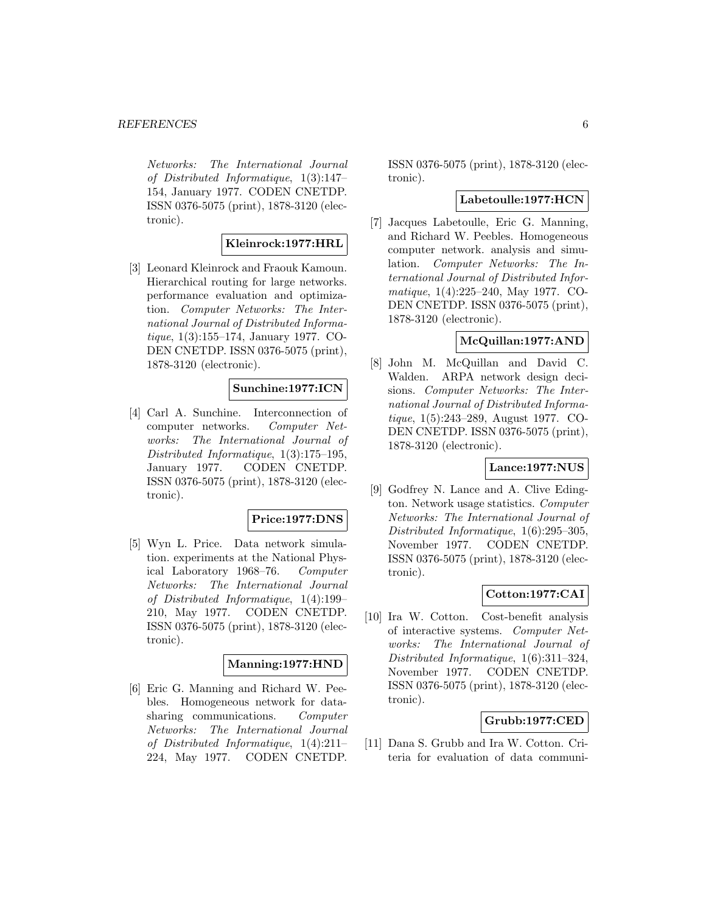Networks: The International Journal of Distributed Informatique, 1(3):147– 154, January 1977. CODEN CNETDP. ISSN 0376-5075 (print), 1878-3120 (electronic).

### **Kleinrock:1977:HRL**

[3] Leonard Kleinrock and Fraouk Kamoun. Hierarchical routing for large networks. performance evaluation and optimization. Computer Networks: The International Journal of Distributed Informatique, 1(3):155–174, January 1977. CO-DEN CNETDP. ISSN 0376-5075 (print), 1878-3120 (electronic).

### **Sunchine:1977:ICN**

[4] Carl A. Sunchine. Interconnection of computer networks. Computer Networks: The International Journal of Distributed Informatique, 1(3):175–195, January 1977. CODEN CNETDP. ISSN 0376-5075 (print), 1878-3120 (electronic).

#### **Price:1977:DNS**

[5] Wyn L. Price. Data network simulation. experiments at the National Physical Laboratory 1968–76. Computer Networks: The International Journal of Distributed Informatique, 1(4):199– 210, May 1977. CODEN CNETDP. ISSN 0376-5075 (print), 1878-3120 (electronic).

### **Manning:1977:HND**

[6] Eric G. Manning and Richard W. Peebles. Homogeneous network for datasharing communications. Computer Networks: The International Journal of Distributed Informatique, 1(4):211– 224, May 1977. CODEN CNETDP.

ISSN 0376-5075 (print), 1878-3120 (electronic).

#### **Labetoulle:1977:HCN**

[7] Jacques Labetoulle, Eric G. Manning, and Richard W. Peebles. Homogeneous computer network. analysis and simulation. Computer Networks: The International Journal of Distributed Informatique, 1(4):225–240, May 1977. CO-DEN CNETDP. ISSN 0376-5075 (print), 1878-3120 (electronic).

# **McQuillan:1977:AND**

[8] John M. McQuillan and David C. Walden. ARPA network design decisions. Computer Networks: The International Journal of Distributed Informatique, 1(5):243–289, August 1977. CO-DEN CNETDP. ISSN 0376-5075 (print), 1878-3120 (electronic).

### **Lance:1977:NUS**

[9] Godfrey N. Lance and A. Clive Edington. Network usage statistics. Computer Networks: The International Journal of Distributed Informatique, 1(6):295–305, November 1977. CODEN CNETDP. ISSN 0376-5075 (print), 1878-3120 (electronic).

### **Cotton:1977:CAI**

[10] Ira W. Cotton. Cost-benefit analysis of interactive systems. Computer Networks: The International Journal of Distributed Informatique, 1(6):311–324, November 1977. CODEN CNETDP. ISSN 0376-5075 (print), 1878-3120 (electronic).

#### **Grubb:1977:CED**

[11] Dana S. Grubb and Ira W. Cotton. Criteria for evaluation of data communi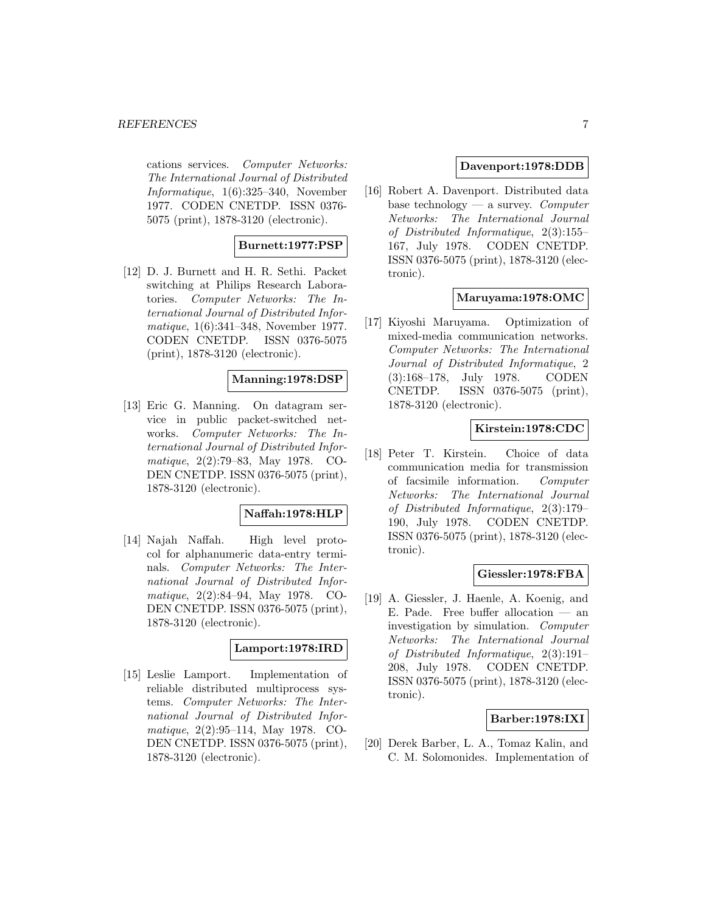cations services. Computer Networks: The International Journal of Distributed Informatique, 1(6):325–340, November 1977. CODEN CNETDP. ISSN 0376- 5075 (print), 1878-3120 (electronic).

### **Burnett:1977:PSP**

[12] D. J. Burnett and H. R. Sethi. Packet switching at Philips Research Laboratories. Computer Networks: The International Journal of Distributed Informatique, 1(6):341–348, November 1977. CODEN CNETDP. ISSN 0376-5075 (print), 1878-3120 (electronic).

# **Manning:1978:DSP**

[13] Eric G. Manning. On datagram service in public packet-switched networks. Computer Networks: The International Journal of Distributed Informatique, 2(2):79–83, May 1978. CO-DEN CNETDP. ISSN 0376-5075 (print), 1878-3120 (electronic).

### **Naffah:1978:HLP**

[14] Najah Naffah. High level protocol for alphanumeric data-entry terminals. Computer Networks: The International Journal of Distributed Informatique, 2(2):84–94, May 1978. CO-DEN CNETDP. ISSN 0376-5075 (print), 1878-3120 (electronic).

### **Lamport:1978:IRD**

[15] Leslie Lamport. Implementation of reliable distributed multiprocess systems. Computer Networks: The International Journal of Distributed Informatique, 2(2):95–114, May 1978. CO-DEN CNETDP. ISSN 0376-5075 (print), 1878-3120 (electronic).

### **Davenport:1978:DDB**

[16] Robert A. Davenport. Distributed data base technology — a survey. Computer Networks: The International Journal of Distributed Informatique, 2(3):155– 167, July 1978. CODEN CNETDP. ISSN 0376-5075 (print), 1878-3120 (electronic).

### **Maruyama:1978:OMC**

[17] Kiyoshi Maruyama. Optimization of mixed-media communication networks. Computer Networks: The International Journal of Distributed Informatique, 2 (3):168–178, July 1978. CODEN CNETDP. ISSN 0376-5075 (print), 1878-3120 (electronic).

### **Kirstein:1978:CDC**

[18] Peter T. Kirstein. Choice of data communication media for transmission of facsimile information. Computer Networks: The International Journal of Distributed Informatique, 2(3):179– 190, July 1978. CODEN CNETDP. ISSN 0376-5075 (print), 1878-3120 (electronic).

### **Giessler:1978:FBA**

[19] A. Giessler, J. Haenle, A. Koenig, and E. Pade. Free buffer allocation  $-$  an investigation by simulation. Computer Networks: The International Journal of Distributed Informatique, 2(3):191– 208, July 1978. CODEN CNETDP. ISSN 0376-5075 (print), 1878-3120 (electronic).

### **Barber:1978:IXI**

[20] Derek Barber, L. A., Tomaz Kalin, and C. M. Solomonides. Implementation of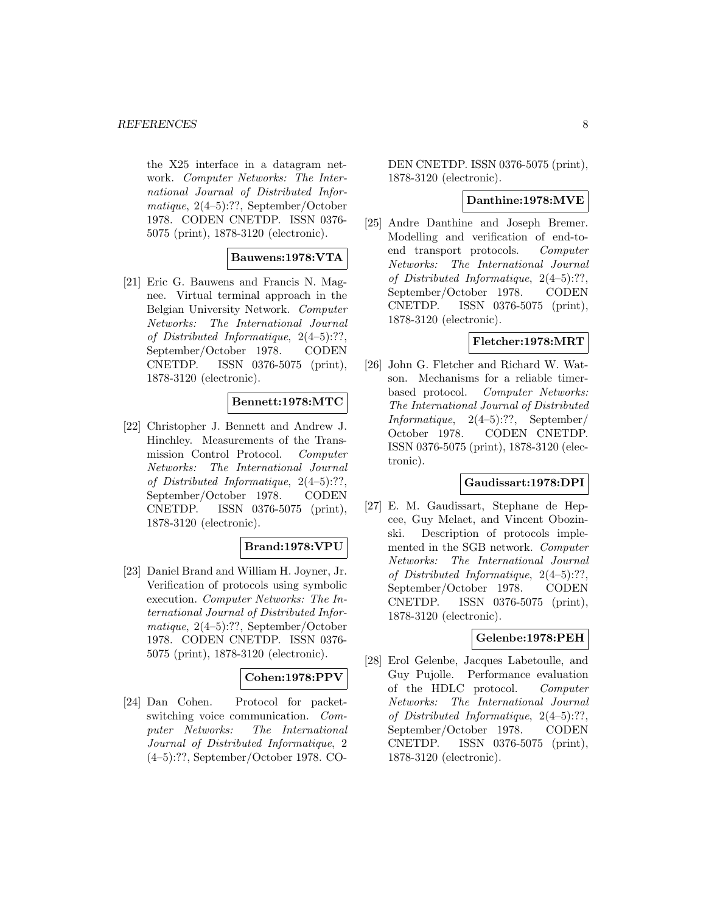the X25 interface in a datagram network. Computer Networks: The International Journal of Distributed Informatique, 2(4–5):??, September/October 1978. CODEN CNETDP. ISSN 0376- 5075 (print), 1878-3120 (electronic).

#### **Bauwens:1978:VTA**

[21] Eric G. Bauwens and Francis N. Magnee. Virtual terminal approach in the Belgian University Network. Computer Networks: The International Journal of Distributed Informatique, 2(4–5):??, September/October 1978. CODEN CNETDP. ISSN 0376-5075 (print), 1878-3120 (electronic).

### **Bennett:1978:MTC**

[22] Christopher J. Bennett and Andrew J. Hinchley. Measurements of the Transmission Control Protocol. Computer Networks: The International Journal of Distributed Informatique, 2(4–5):??, September/October 1978. CODEN CNETDP. ISSN 0376-5075 (print), 1878-3120 (electronic).

### **Brand:1978:VPU**

[23] Daniel Brand and William H. Joyner, Jr. Verification of protocols using symbolic execution. Computer Networks: The International Journal of Distributed Informatique, 2(4–5):??, September/October 1978. CODEN CNETDP. ISSN 0376- 5075 (print), 1878-3120 (electronic).

### **Cohen:1978:PPV**

[24] Dan Cohen. Protocol for packetswitching voice communication. Computer Networks: The International Journal of Distributed Informatique, 2 (4–5):??, September/October 1978. CO-

DEN CNETDP. ISSN 0376-5075 (print), 1878-3120 (electronic).

### **Danthine:1978:MVE**

[25] Andre Danthine and Joseph Bremer. Modelling and verification of end-toend transport protocols. Computer Networks: The International Journal of Distributed Informatique, 2(4–5):??, September/October 1978. CODEN CNETDP. ISSN 0376-5075 (print), 1878-3120 (electronic).

# **Fletcher:1978:MRT**

[26] John G. Fletcher and Richard W. Watson. Mechanisms for a reliable timerbased protocol. Computer Networks: The International Journal of Distributed Informatique, 2(4–5):??, September/ October 1978. CODEN CNETDP. ISSN 0376-5075 (print), 1878-3120 (electronic).

### **Gaudissart:1978:DPI**

[27] E. M. Gaudissart, Stephane de Hepcee, Guy Melaet, and Vincent Obozinski. Description of protocols implemented in the SGB network. Computer Networks: The International Journal of Distributed Informatique, 2(4–5):??, September/October 1978. CODEN CNETDP. ISSN 0376-5075 (print), 1878-3120 (electronic).

### **Gelenbe:1978:PEH**

[28] Erol Gelenbe, Jacques Labetoulle, and Guy Pujolle. Performance evaluation of the HDLC protocol. Computer Networks: The International Journal of Distributed Informatique, 2(4–5):??, September/October 1978. CODEN CNETDP. ISSN 0376-5075 (print), 1878-3120 (electronic).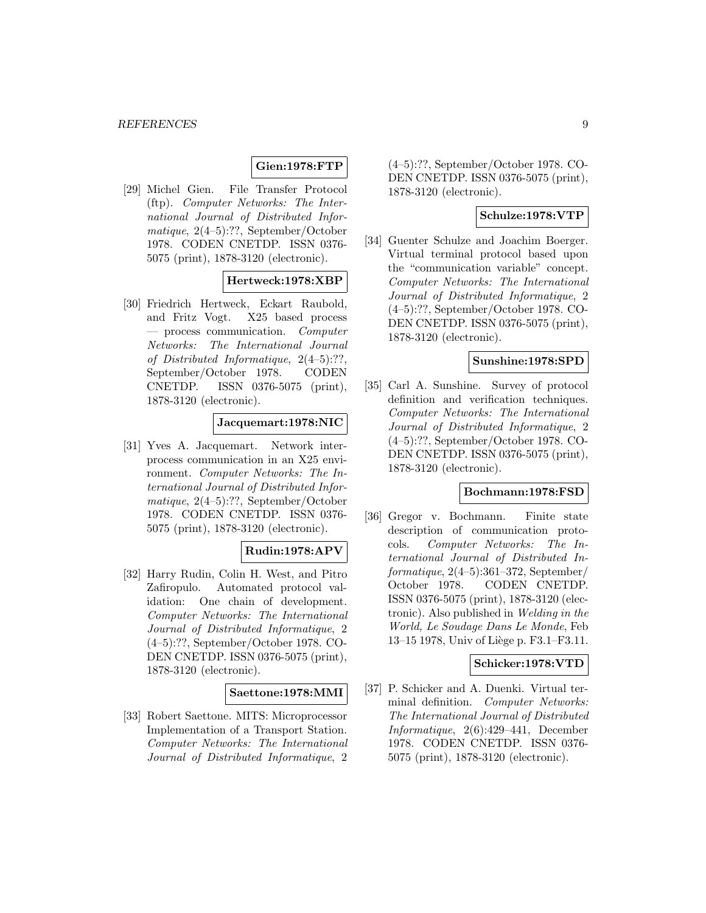# **Gien:1978:FTP**

[29] Michel Gien. File Transfer Protocol (ftp). Computer Networks: The International Journal of Distributed Informatique, 2(4–5):??, September/October 1978. CODEN CNETDP. ISSN 0376- 5075 (print), 1878-3120 (electronic).

### **Hertweck:1978:XBP**

[30] Friedrich Hertweck, Eckart Raubold, and Fritz Vogt. X25 based process — process communication. Computer Networks: The International Journal of Distributed Informatique, 2(4–5):??, September/October 1978. CODEN CNETDP. ISSN 0376-5075 (print), 1878-3120 (electronic).

#### **Jacquemart:1978:NIC**

[31] Yves A. Jacquemart. Network interprocess communication in an X25 environment. Computer Networks: The International Journal of Distributed Informatique, 2(4–5):??, September/October 1978. CODEN CNETDP. ISSN 0376- 5075 (print), 1878-3120 (electronic).

# **Rudin:1978:APV**

[32] Harry Rudin, Colin H. West, and Pitro Zafiropulo. Automated protocol validation: One chain of development. Computer Networks: The International Journal of Distributed Informatique, 2 (4–5):??, September/October 1978. CO-DEN CNETDP. ISSN 0376-5075 (print), 1878-3120 (electronic).

#### **Saettone:1978:MMI**

[33] Robert Saettone. MITS: Microprocessor Implementation of a Transport Station. Computer Networks: The International Journal of Distributed Informatique, 2

(4–5):??, September/October 1978. CO-DEN CNETDP. ISSN 0376-5075 (print), 1878-3120 (electronic).

# **Schulze:1978:VTP**

[34] Guenter Schulze and Joachim Boerger. Virtual terminal protocol based upon the "communication variable" concept. Computer Networks: The International Journal of Distributed Informatique, 2 (4–5):??, September/October 1978. CO-DEN CNETDP. ISSN 0376-5075 (print), 1878-3120 (electronic).

### **Sunshine:1978:SPD**

[35] Carl A. Sunshine. Survey of protocol definition and verification techniques. Computer Networks: The International Journal of Distributed Informatique, 2 (4–5):??, September/October 1978. CO-DEN CNETDP. ISSN 0376-5075 (print), 1878-3120 (electronic).

#### **Bochmann:1978:FSD**

[36] Gregor v. Bochmann. Finite state description of communication protocols. Computer Networks: The International Journal of Distributed In $formatique, 2(4-5):361-372, September/$ October 1978. CODEN CNETDP. ISSN 0376-5075 (print), 1878-3120 (electronic). Also published in Welding in the World, Le Soudage Dans Le Monde, Feb 13–15 1978, Univ of Liège p. F3.1–F3.11.

#### **Schicker:1978:VTD**

[37] P. Schicker and A. Duenki. Virtual terminal definition. Computer Networks: The International Journal of Distributed Informatique, 2(6):429–441, December 1978. CODEN CNETDP. ISSN 0376- 5075 (print), 1878-3120 (electronic).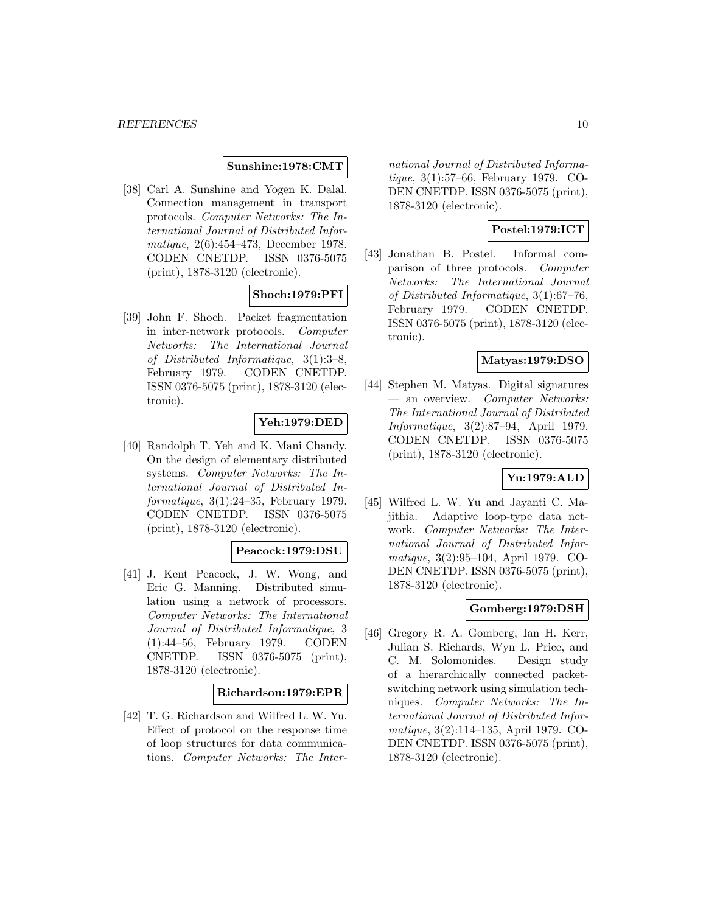### **Sunshine:1978:CMT**

[38] Carl A. Sunshine and Yogen K. Dalal. Connection management in transport protocols. Computer Networks: The International Journal of Distributed Informatique, 2(6):454–473, December 1978. CODEN CNETDP. ISSN 0376-5075 (print), 1878-3120 (electronic).

# **Shoch:1979:PFI**

[39] John F. Shoch. Packet fragmentation in inter-network protocols. Computer Networks: The International Journal of Distributed Informatique, 3(1):3–8, February 1979. CODEN CNETDP. ISSN 0376-5075 (print), 1878-3120 (electronic).

### **Yeh:1979:DED**

[40] Randolph T. Yeh and K. Mani Chandy. On the design of elementary distributed systems. Computer Networks: The International Journal of Distributed Informatique, 3(1):24–35, February 1979. CODEN CNETDP. ISSN 0376-5075 (print), 1878-3120 (electronic).

### **Peacock:1979:DSU**

[41] J. Kent Peacock, J. W. Wong, and Eric G. Manning. Distributed simulation using a network of processors. Computer Networks: The International Journal of Distributed Informatique, 3 (1):44–56, February 1979. CODEN CNETDP. ISSN 0376-5075 (print), 1878-3120 (electronic).

#### **Richardson:1979:EPR**

[42] T. G. Richardson and Wilfred L. W. Yu. Effect of protocol on the response time of loop structures for data communications. Computer Networks: The International Journal of Distributed Informatique, 3(1):57–66, February 1979. CO-DEN CNETDP. ISSN 0376-5075 (print), 1878-3120 (electronic).

# **Postel:1979:ICT**

[43] Jonathan B. Postel. Informal comparison of three protocols. Computer Networks: The International Journal of Distributed Informatique, 3(1):67–76, February 1979. CODEN CNETDP. ISSN 0376-5075 (print), 1878-3120 (electronic).

### **Matyas:1979:DSO**

[44] Stephen M. Matyas. Digital signatures — an overview. Computer Networks: The International Journal of Distributed Informatique, 3(2):87–94, April 1979. CODEN CNETDP. ISSN 0376-5075 (print), 1878-3120 (electronic).

# **Yu:1979:ALD**

[45] Wilfred L. W. Yu and Jayanti C. Majithia. Adaptive loop-type data network. Computer Networks: The International Journal of Distributed Informatique, 3(2):95–104, April 1979. CO-DEN CNETDP. ISSN 0376-5075 (print), 1878-3120 (electronic).

### **Gomberg:1979:DSH**

[46] Gregory R. A. Gomberg, Ian H. Kerr, Julian S. Richards, Wyn L. Price, and C. M. Solomonides. Design study of a hierarchically connected packetswitching network using simulation techniques. Computer Networks: The International Journal of Distributed Informatique, 3(2):114–135, April 1979. CO-DEN CNETDP. ISSN 0376-5075 (print), 1878-3120 (electronic).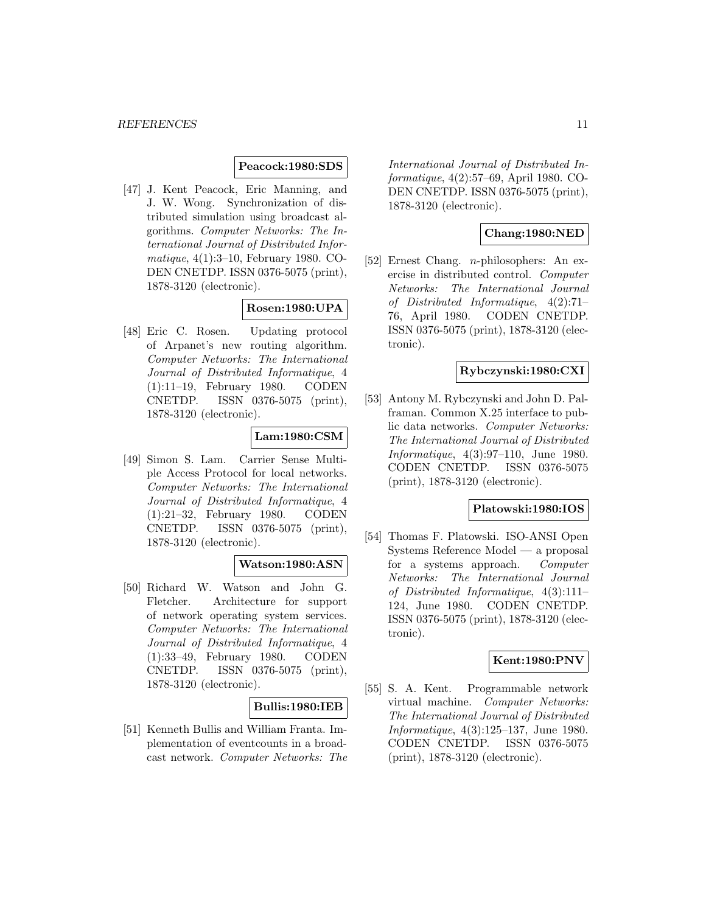#### **Peacock:1980:SDS**

[47] J. Kent Peacock, Eric Manning, and J. W. Wong. Synchronization of distributed simulation using broadcast algorithms. Computer Networks: The International Journal of Distributed Informatique, 4(1):3–10, February 1980. CO-DEN CNETDP. ISSN 0376-5075 (print), 1878-3120 (electronic).

# **Rosen:1980:UPA**

[48] Eric C. Rosen. Updating protocol of Arpanet's new routing algorithm. Computer Networks: The International Journal of Distributed Informatique, 4 (1):11–19, February 1980. CODEN CNETDP. ISSN 0376-5075 (print), 1878-3120 (electronic).

# **Lam:1980:CSM**

[49] Simon S. Lam. Carrier Sense Multiple Access Protocol for local networks. Computer Networks: The International Journal of Distributed Informatique, 4 (1):21–32, February 1980. CODEN CNETDP. ISSN 0376-5075 (print), 1878-3120 (electronic).

#### **Watson:1980:ASN**

[50] Richard W. Watson and John G. Fletcher. Architecture for support of network operating system services. Computer Networks: The International Journal of Distributed Informatique, 4 (1):33–49, February 1980. CODEN CNETDP. ISSN 0376-5075 (print), 1878-3120 (electronic).

#### **Bullis:1980:IEB**

[51] Kenneth Bullis and William Franta. Implementation of eventcounts in a broadcast network. Computer Networks: The International Journal of Distributed Informatique, 4(2):57–69, April 1980. CO-DEN CNETDP. ISSN 0376-5075 (print), 1878-3120 (electronic).

### **Chang:1980:NED**

[52] Ernest Chang. n-philosophers: An exercise in distributed control. Computer Networks: The International Journal of Distributed Informatique, 4(2):71– 76, April 1980. CODEN CNETDP. ISSN 0376-5075 (print), 1878-3120 (electronic).

### **Rybczynski:1980:CXI**

[53] Antony M. Rybczynski and John D. Palframan. Common X.25 interface to public data networks. Computer Networks: The International Journal of Distributed Informatique, 4(3):97–110, June 1980. CODEN CNETDP. ISSN 0376-5075 (print), 1878-3120 (electronic).

#### **Platowski:1980:IOS**

[54] Thomas F. Platowski. ISO-ANSI Open Systems Reference Model — a proposal for a systems approach. Computer Networks: The International Journal of Distributed Informatique, 4(3):111– 124, June 1980. CODEN CNETDP. ISSN 0376-5075 (print), 1878-3120 (electronic).

#### **Kent:1980:PNV**

[55] S. A. Kent. Programmable network virtual machine. Computer Networks: The International Journal of Distributed Informatique, 4(3):125–137, June 1980. CODEN CNETDP. ISSN 0376-5075 (print), 1878-3120 (electronic).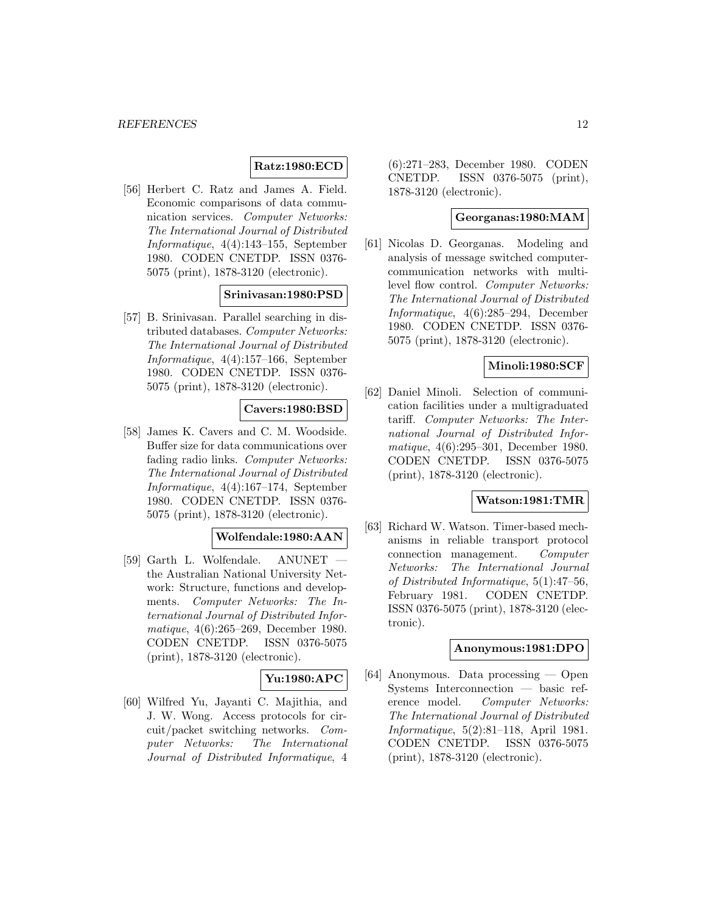# **Ratz:1980:ECD**

[56] Herbert C. Ratz and James A. Field. Economic comparisons of data communication services. Computer Networks: The International Journal of Distributed Informatique, 4(4):143–155, September 1980. CODEN CNETDP. ISSN 0376- 5075 (print), 1878-3120 (electronic).

#### **Srinivasan:1980:PSD**

[57] B. Srinivasan. Parallel searching in distributed databases. Computer Networks: The International Journal of Distributed Informatique, 4(4):157–166, September 1980. CODEN CNETDP. ISSN 0376- 5075 (print), 1878-3120 (electronic).

### **Cavers:1980:BSD**

[58] James K. Cavers and C. M. Woodside. Buffer size for data communications over fading radio links. Computer Networks: The International Journal of Distributed Informatique, 4(4):167–174, September 1980. CODEN CNETDP. ISSN 0376- 5075 (print), 1878-3120 (electronic).

### **Wolfendale:1980:AAN**

[59] Garth L. Wolfendale. ANUNET the Australian National University Network: Structure, functions and developments. Computer Networks: The International Journal of Distributed Informatique, 4(6):265–269, December 1980. CODEN CNETDP. ISSN 0376-5075 (print), 1878-3120 (electronic).

### **Yu:1980:APC**

[60] Wilfred Yu, Jayanti C. Majithia, and J. W. Wong. Access protocols for circuit/packet switching networks. Computer Networks: The International Journal of Distributed Informatique, 4

(6):271–283, December 1980. CODEN CNETDP. ISSN 0376-5075 (print), 1878-3120 (electronic).

### **Georganas:1980:MAM**

[61] Nicolas D. Georganas. Modeling and analysis of message switched computercommunication networks with multilevel flow control. Computer Networks: The International Journal of Distributed Informatique, 4(6):285–294, December 1980. CODEN CNETDP. ISSN 0376- 5075 (print), 1878-3120 (electronic).

### **Minoli:1980:SCF**

[62] Daniel Minoli. Selection of communication facilities under a multigraduated tariff. Computer Networks: The International Journal of Distributed Informatique, 4(6):295–301, December 1980. CODEN CNETDP. ISSN 0376-5075 (print), 1878-3120 (electronic).

#### **Watson:1981:TMR**

[63] Richard W. Watson. Timer-based mechanisms in reliable transport protocol connection management. Computer Networks: The International Journal of Distributed Informatique, 5(1):47–56, February 1981. CODEN CNETDP. ISSN 0376-5075 (print), 1878-3120 (electronic).

### **Anonymous:1981:DPO**

[64] Anonymous. Data processing — Open Systems Interconnection — basic reference model. Computer Networks: The International Journal of Distributed Informatique, 5(2):81–118, April 1981. CODEN CNETDP. ISSN 0376-5075 (print), 1878-3120 (electronic).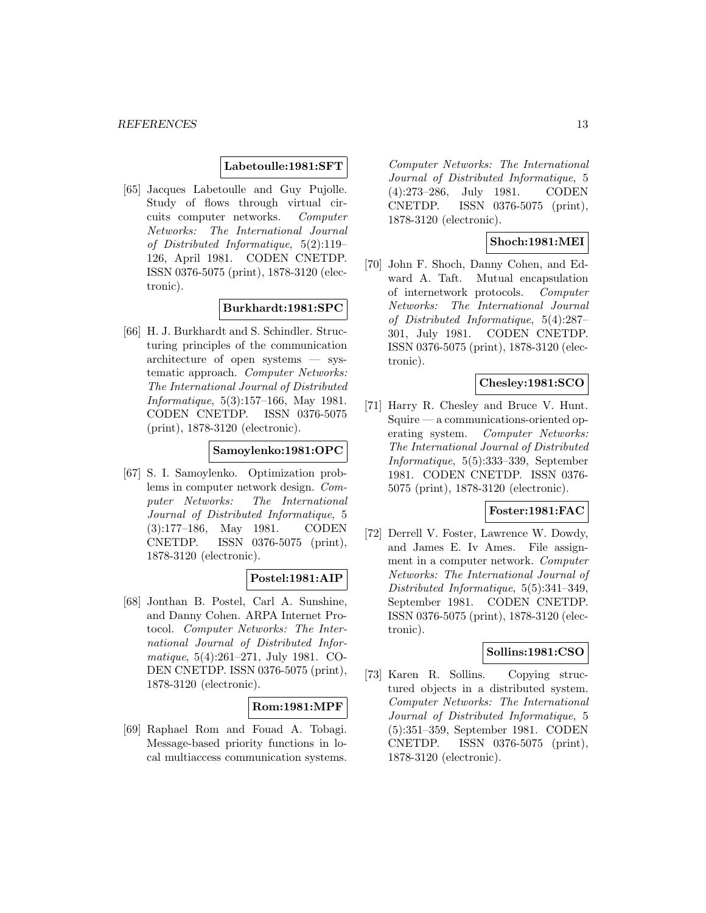#### **Labetoulle:1981:SFT**

[65] Jacques Labetoulle and Guy Pujolle. Study of flows through virtual circuits computer networks. Computer Networks: The International Journal of Distributed Informatique, 5(2):119– 126, April 1981. CODEN CNETDP. ISSN 0376-5075 (print), 1878-3120 (electronic).

# **Burkhardt:1981:SPC**

[66] H. J. Burkhardt and S. Schindler. Structuring principles of the communication architecture of open systems — systematic approach. Computer Networks: The International Journal of Distributed Informatique, 5(3):157–166, May 1981. CODEN CNETDP. ISSN 0376-5075 (print), 1878-3120 (electronic).

# **Samoylenko:1981:OPC**

[67] S. I. Samoylenko. Optimization problems in computer network design. Computer Networks: The International Journal of Distributed Informatique, 5 (3):177–186, May 1981. CODEN CNETDP. ISSN 0376-5075 (print), 1878-3120 (electronic).

#### **Postel:1981:AIP**

[68] Jonthan B. Postel, Carl A. Sunshine, and Danny Cohen. ARPA Internet Protocol. Computer Networks: The International Journal of Distributed Informatique, 5(4):261–271, July 1981. CO-DEN CNETDP. ISSN 0376-5075 (print), 1878-3120 (electronic).

#### **Rom:1981:MPF**

[69] Raphael Rom and Fouad A. Tobagi. Message-based priority functions in local multiaccess communication systems. Computer Networks: The International Journal of Distributed Informatique, 5 (4):273–286, July 1981. CODEN CNETDP. ISSN 0376-5075 (print), 1878-3120 (electronic).

### **Shoch:1981:MEI**

[70] John F. Shoch, Danny Cohen, and Edward A. Taft. Mutual encapsulation of internetwork protocols. Computer Networks: The International Journal of Distributed Informatique, 5(4):287– 301, July 1981. CODEN CNETDP. ISSN 0376-5075 (print), 1878-3120 (electronic).

# **Chesley:1981:SCO**

[71] Harry R. Chesley and Bruce V. Hunt. Squire — a communications-oriented operating system. Computer Networks: The International Journal of Distributed Informatique, 5(5):333–339, September 1981. CODEN CNETDP. ISSN 0376- 5075 (print), 1878-3120 (electronic).

### **Foster:1981:FAC**

[72] Derrell V. Foster, Lawrence W. Dowdy, and James E. Iv Ames. File assignment in a computer network. Computer Networks: The International Journal of Distributed Informatique, 5(5):341–349, September 1981. CODEN CNETDP. ISSN 0376-5075 (print), 1878-3120 (electronic).

### **Sollins:1981:CSO**

[73] Karen R. Sollins. Copying structured objects in a distributed system. Computer Networks: The International Journal of Distributed Informatique, 5 (5):351–359, September 1981. CODEN CNETDP. ISSN 0376-5075 (print), 1878-3120 (electronic).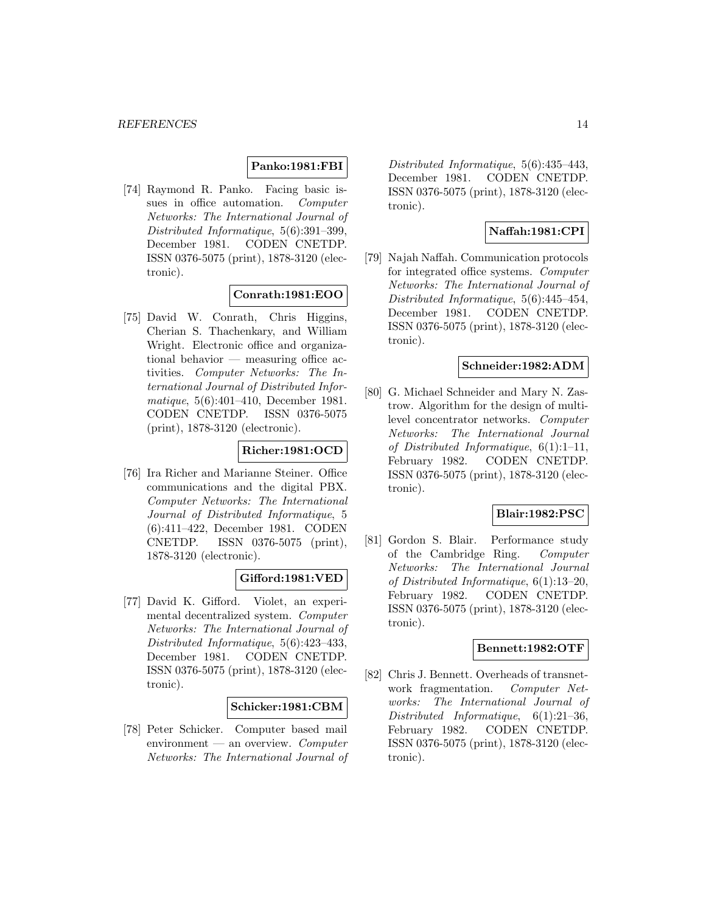### **Panko:1981:FBI**

[74] Raymond R. Panko. Facing basic issues in office automation. Computer Networks: The International Journal of Distributed Informatique, 5(6):391–399, December 1981. CODEN CNETDP. ISSN 0376-5075 (print), 1878-3120 (electronic).

### **Conrath:1981:EOO**

[75] David W. Conrath, Chris Higgins, Cherian S. Thachenkary, and William Wright. Electronic office and organizational behavior — measuring office activities. Computer Networks: The International Journal of Distributed Informatique, 5(6):401–410, December 1981. CODEN CNETDP. ISSN 0376-5075 (print), 1878-3120 (electronic).

# **Richer:1981:OCD**

[76] Ira Richer and Marianne Steiner. Office communications and the digital PBX. Computer Networks: The International Journal of Distributed Informatique, 5 (6):411–422, December 1981. CODEN CNETDP. ISSN 0376-5075 (print), 1878-3120 (electronic).

### **Gifford:1981:VED**

[77] David K. Gifford. Violet, an experimental decentralized system. Computer Networks: The International Journal of Distributed Informatique, 5(6):423–433, December 1981. CODEN CNETDP. ISSN 0376-5075 (print), 1878-3120 (electronic).

#### **Schicker:1981:CBM**

[78] Peter Schicker. Computer based mail environment — an overview. Computer Networks: The International Journal of Distributed Informatique, 5(6):435–443, December 1981. CODEN CNETDP. ISSN 0376-5075 (print), 1878-3120 (electronic).

# **Naffah:1981:CPI**

[79] Najah Naffah. Communication protocols for integrated office systems. Computer Networks: The International Journal of Distributed Informatique, 5(6):445–454, December 1981. CODEN CNETDP. ISSN 0376-5075 (print), 1878-3120 (electronic).

### **Schneider:1982:ADM**

[80] G. Michael Schneider and Mary N. Zastrow. Algorithm for the design of multilevel concentrator networks. Computer Networks: The International Journal of Distributed Informatique, 6(1):1–11, February 1982. CODEN CNETDP. ISSN 0376-5075 (print), 1878-3120 (electronic).

# **Blair:1982:PSC**

[81] Gordon S. Blair. Performance study of the Cambridge Ring. Computer Networks: The International Journal of Distributed Informatique, 6(1):13–20, February 1982. CODEN CNETDP. ISSN 0376-5075 (print), 1878-3120 (electronic).

### **Bennett:1982:OTF**

[82] Chris J. Bennett. Overheads of transnetwork fragmentation. Computer Networks: The International Journal of Distributed Informatique, 6(1):21–36, February 1982. CODEN CNETDP. ISSN 0376-5075 (print), 1878-3120 (electronic).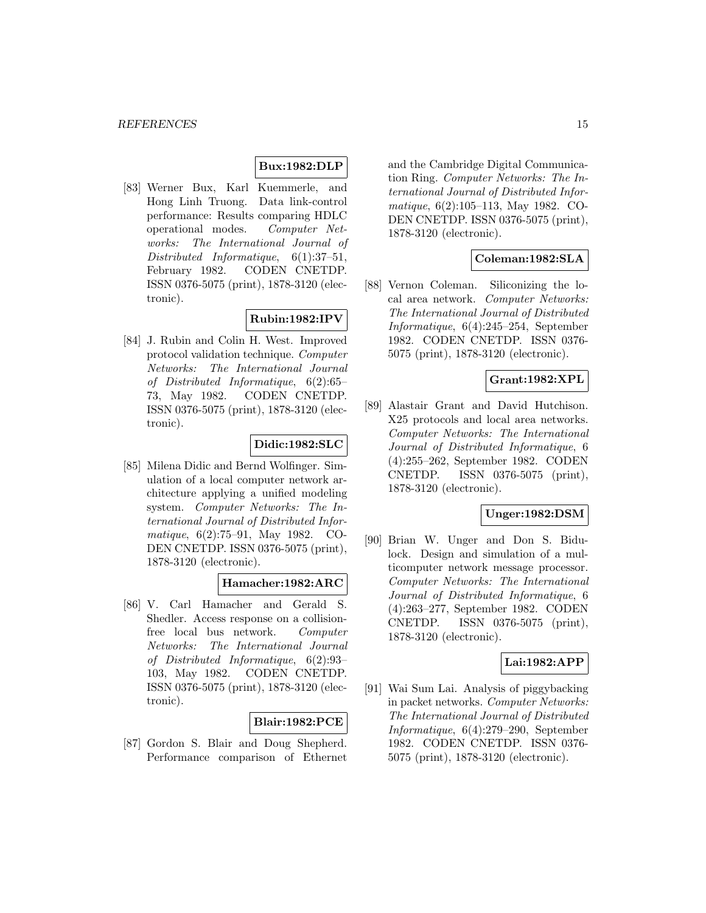### **Bux:1982:DLP**

[83] Werner Bux, Karl Kuemmerle, and Hong Linh Truong. Data link-control performance: Results comparing HDLC operational modes. Computer Networks: The International Journal of Distributed Informatique, 6(1):37–51, February 1982. CODEN CNETDP. ISSN 0376-5075 (print), 1878-3120 (electronic).

# **Rubin:1982:IPV**

[84] J. Rubin and Colin H. West. Improved protocol validation technique. Computer Networks: The International Journal of Distributed Informatique, 6(2):65– 73, May 1982. CODEN CNETDP. ISSN 0376-5075 (print), 1878-3120 (electronic).

### **Didic:1982:SLC**

[85] Milena Didic and Bernd Wolfinger. Simulation of a local computer network architecture applying a unified modeling system. Computer Networks: The International Journal of Distributed Informatique, 6(2):75–91, May 1982. CO-DEN CNETDP. ISSN 0376-5075 (print), 1878-3120 (electronic).

### **Hamacher:1982:ARC**

[86] V. Carl Hamacher and Gerald S. Shedler. Access response on a collisionfree local bus network. Computer Networks: The International Journal of Distributed Informatique, 6(2):93– 103, May 1982. CODEN CNETDP. ISSN 0376-5075 (print), 1878-3120 (electronic).

# **Blair:1982:PCE**

[87] Gordon S. Blair and Doug Shepherd. Performance comparison of Ethernet and the Cambridge Digital Communication Ring. Computer Networks: The International Journal of Distributed Informatique, 6(2):105–113, May 1982. CO-DEN CNETDP. ISSN 0376-5075 (print), 1878-3120 (electronic).

# **Coleman:1982:SLA**

[88] Vernon Coleman. Siliconizing the local area network. Computer Networks: The International Journal of Distributed Informatique, 6(4):245–254, September 1982. CODEN CNETDP. ISSN 0376- 5075 (print), 1878-3120 (electronic).

# **Grant:1982:XPL**

[89] Alastair Grant and David Hutchison. X25 protocols and local area networks. Computer Networks: The International Journal of Distributed Informatique, 6 (4):255–262, September 1982. CODEN CNETDP. ISSN 0376-5075 (print), 1878-3120 (electronic).

# **Unger:1982:DSM**

[90] Brian W. Unger and Don S. Bidulock. Design and simulation of a multicomputer network message processor. Computer Networks: The International Journal of Distributed Informatique, 6 (4):263–277, September 1982. CODEN CNETDP. ISSN 0376-5075 (print), 1878-3120 (electronic).

### **Lai:1982:APP**

[91] Wai Sum Lai. Analysis of piggybacking in packet networks. Computer Networks: The International Journal of Distributed Informatique, 6(4):279–290, September 1982. CODEN CNETDP. ISSN 0376- 5075 (print), 1878-3120 (electronic).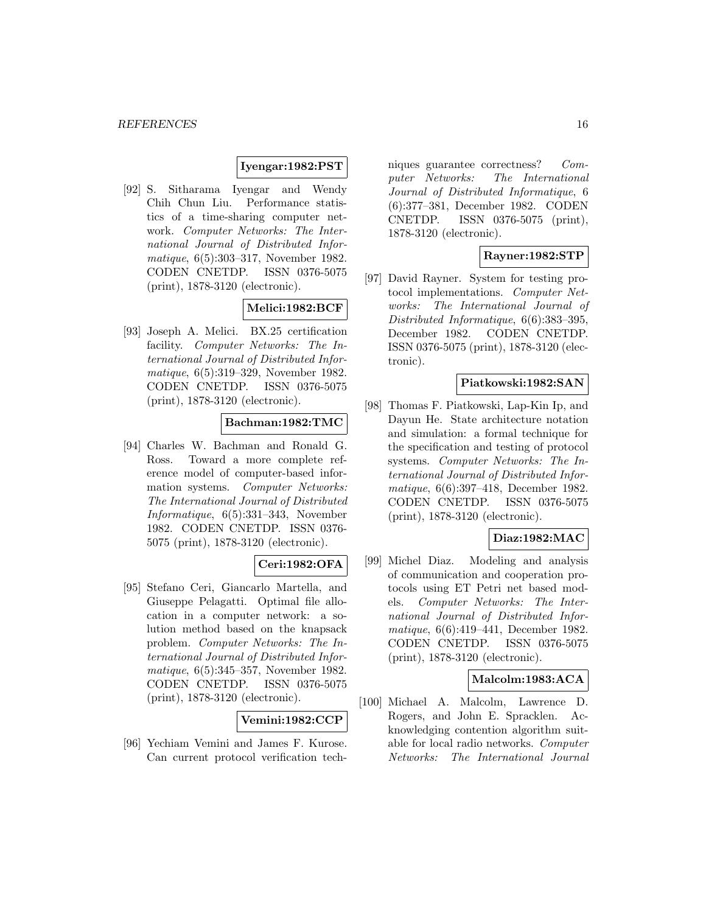### **Iyengar:1982:PST**

[92] S. Sitharama Iyengar and Wendy Chih Chun Liu. Performance statistics of a time-sharing computer network. Computer Networks: The International Journal of Distributed Informatique, 6(5):303–317, November 1982. CODEN CNETDP. ISSN 0376-5075 (print), 1878-3120 (electronic).

# **Melici:1982:BCF**

[93] Joseph A. Melici. BX.25 certification facility. Computer Networks: The International Journal of Distributed Informatique, 6(5):319–329, November 1982. CODEN CNETDP. ISSN 0376-5075 (print), 1878-3120 (electronic).

# **Bachman:1982:TMC**

[94] Charles W. Bachman and Ronald G. Ross. Toward a more complete reference model of computer-based information systems. Computer Networks: The International Journal of Distributed Informatique, 6(5):331–343, November 1982. CODEN CNETDP. ISSN 0376- 5075 (print), 1878-3120 (electronic).

# **Ceri:1982:OFA**

[95] Stefano Ceri, Giancarlo Martella, and Giuseppe Pelagatti. Optimal file allocation in a computer network: a solution method based on the knapsack problem. Computer Networks: The International Journal of Distributed Informatique, 6(5):345–357, November 1982. CODEN CNETDP. ISSN 0376-5075 (print), 1878-3120 (electronic).

#### **Vemini:1982:CCP**

[96] Yechiam Vemini and James F. Kurose. Can current protocol verification techniques guarantee correctness? Computer Networks: The International Journal of Distributed Informatique, 6 (6):377–381, December 1982. CODEN CNETDP. ISSN 0376-5075 (print), 1878-3120 (electronic).

### **Rayner:1982:STP**

[97] David Rayner. System for testing protocol implementations. Computer Networks: The International Journal of Distributed Informatique, 6(6):383–395, December 1982. CODEN CNETDP. ISSN 0376-5075 (print), 1878-3120 (electronic).

### **Piatkowski:1982:SAN**

[98] Thomas F. Piatkowski, Lap-Kin Ip, and Dayun He. State architecture notation and simulation: a formal technique for the specification and testing of protocol systems. Computer Networks: The International Journal of Distributed Informatique, 6(6):397–418, December 1982. CODEN CNETDP. ISSN 0376-5075 (print), 1878-3120 (electronic).

# **Diaz:1982:MAC**

[99] Michel Diaz. Modeling and analysis of communication and cooperation protocols using ET Petri net based models. Computer Networks: The International Journal of Distributed Informatique, 6(6):419–441, December 1982. CODEN CNETDP. ISSN 0376-5075 (print), 1878-3120 (electronic).

### **Malcolm:1983:ACA**

[100] Michael A. Malcolm, Lawrence D. Rogers, and John E. Spracklen. Acknowledging contention algorithm suitable for local radio networks. Computer Networks: The International Journal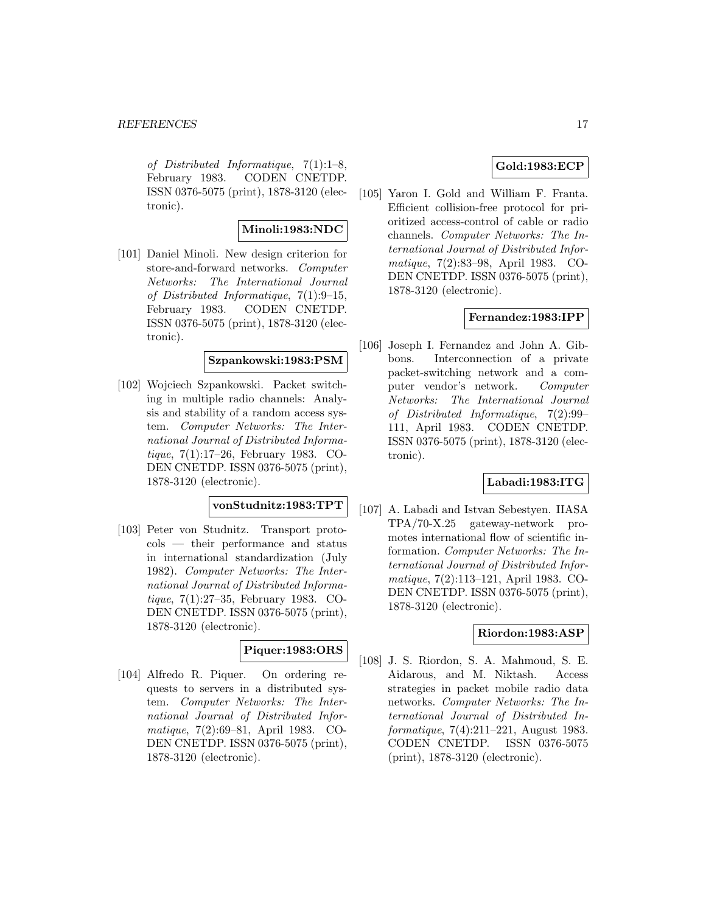of Distributed Informatique, 7(1):1–8, February 1983. CODEN CNETDP. ISSN 0376-5075 (print), 1878-3120 (electronic).

### **Minoli:1983:NDC**

[101] Daniel Minoli. New design criterion for store-and-forward networks. Computer Networks: The International Journal of Distributed Informatique, 7(1):9–15, February 1983. CODEN CNETDP. ISSN 0376-5075 (print), 1878-3120 (electronic).

### **Szpankowski:1983:PSM**

[102] Wojciech Szpankowski. Packet switching in multiple radio channels: Analysis and stability of a random access system. Computer Networks: The International Journal of Distributed Informatique, 7(1):17–26, February 1983. CO-DEN CNETDP. ISSN 0376-5075 (print), 1878-3120 (electronic).

### **vonStudnitz:1983:TPT**

[103] Peter von Studnitz. Transport protocols — their performance and status in international standardization (July 1982). Computer Networks: The International Journal of Distributed Informatique, 7(1):27–35, February 1983. CO-DEN CNETDP. ISSN 0376-5075 (print), 1878-3120 (electronic).

# **Piquer:1983:ORS**

[104] Alfredo R. Piquer. On ordering requests to servers in a distributed system. Computer Networks: The International Journal of Distributed Informatique, 7(2):69–81, April 1983. CO-DEN CNETDP. ISSN 0376-5075 (print), 1878-3120 (electronic).

### **Gold:1983:ECP**

[105] Yaron I. Gold and William F. Franta. Efficient collision-free protocol for prioritized access-control of cable or radio channels. Computer Networks: The International Journal of Distributed Informatique, 7(2):83–98, April 1983. CO-DEN CNETDP. ISSN 0376-5075 (print), 1878-3120 (electronic).

# **Fernandez:1983:IPP**

[106] Joseph I. Fernandez and John A. Gibbons. Interconnection of a private packet-switching network and a computer vendor's network. Computer Networks: The International Journal of Distributed Informatique, 7(2):99– 111, April 1983. CODEN CNETDP. ISSN 0376-5075 (print), 1878-3120 (electronic).

# **Labadi:1983:ITG**

[107] A. Labadi and Istvan Sebestyen. IIASA TPA/70-X.25 gateway-network promotes international flow of scientific information. Computer Networks: The International Journal of Distributed Informatique, 7(2):113–121, April 1983. CO-DEN CNETDP. ISSN 0376-5075 (print), 1878-3120 (electronic).

# **Riordon:1983:ASP**

[108] J. S. Riordon, S. A. Mahmoud, S. E. Aidarous, and M. Niktash. Access strategies in packet mobile radio data networks. Computer Networks: The International Journal of Distributed Informatique, 7(4):211–221, August 1983. CODEN CNETDP. ISSN 0376-5075 (print), 1878-3120 (electronic).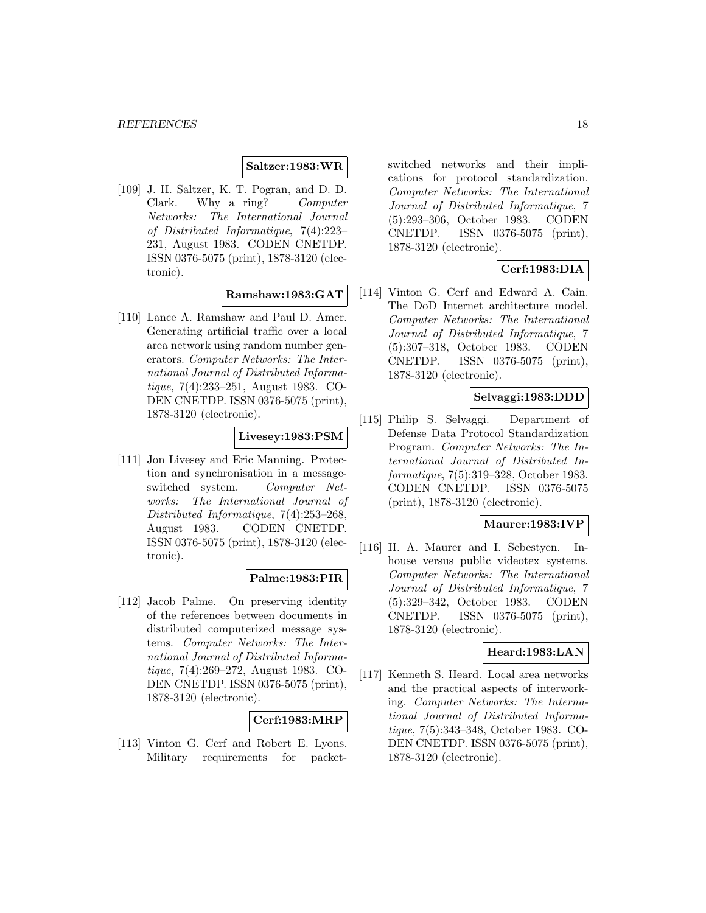# **Saltzer:1983:WR**

[109] J. H. Saltzer, K. T. Pogran, and D. D. Clark. Why a ring? Computer Networks: The International Journal of Distributed Informatique, 7(4):223– 231, August 1983. CODEN CNETDP. ISSN 0376-5075 (print), 1878-3120 (electronic).

### **Ramshaw:1983:GAT**

[110] Lance A. Ramshaw and Paul D. Amer. Generating artificial traffic over a local area network using random number generators. Computer Networks: The International Journal of Distributed Informatique, 7(4):233–251, August 1983. CO-DEN CNETDP. ISSN 0376-5075 (print), 1878-3120 (electronic).

### **Livesey:1983:PSM**

[111] Jon Livesey and Eric Manning. Protection and synchronisation in a messageswitched system. Computer Networks: The International Journal of Distributed Informatique, 7(4):253–268, August 1983. CODEN CNETDP. ISSN 0376-5075 (print), 1878-3120 (electronic).

#### **Palme:1983:PIR**

[112] Jacob Palme. On preserving identity of the references between documents in distributed computerized message systems. Computer Networks: The International Journal of Distributed Informatique, 7(4):269–272, August 1983. CO-DEN CNETDP. ISSN 0376-5075 (print), 1878-3120 (electronic).

#### **Cerf:1983:MRP**

[113] Vinton G. Cerf and Robert E. Lyons. Military requirements for packetswitched networks and their implications for protocol standardization. Computer Networks: The International Journal of Distributed Informatique, 7 (5):293–306, October 1983. CODEN CNETDP. ISSN 0376-5075 (print), 1878-3120 (electronic).

# **Cerf:1983:DIA**

[114] Vinton G. Cerf and Edward A. Cain. The DoD Internet architecture model. Computer Networks: The International Journal of Distributed Informatique, 7 (5):307–318, October 1983. CODEN CNETDP. ISSN 0376-5075 (print), 1878-3120 (electronic).

### **Selvaggi:1983:DDD**

[115] Philip S. Selvaggi. Department of Defense Data Protocol Standardization Program. Computer Networks: The International Journal of Distributed Informatique, 7(5):319–328, October 1983. CODEN CNETDP. ISSN 0376-5075 (print), 1878-3120 (electronic).

### **Maurer:1983:IVP**

[116] H. A. Maurer and I. Sebestyen. Inhouse versus public videotex systems. Computer Networks: The International Journal of Distributed Informatique, 7 (5):329–342, October 1983. CODEN CNETDP. ISSN 0376-5075 (print), 1878-3120 (electronic).

### **Heard:1983:LAN**

[117] Kenneth S. Heard. Local area networks and the practical aspects of interworking. Computer Networks: The International Journal of Distributed Informatique, 7(5):343–348, October 1983. CO-DEN CNETDP. ISSN 0376-5075 (print), 1878-3120 (electronic).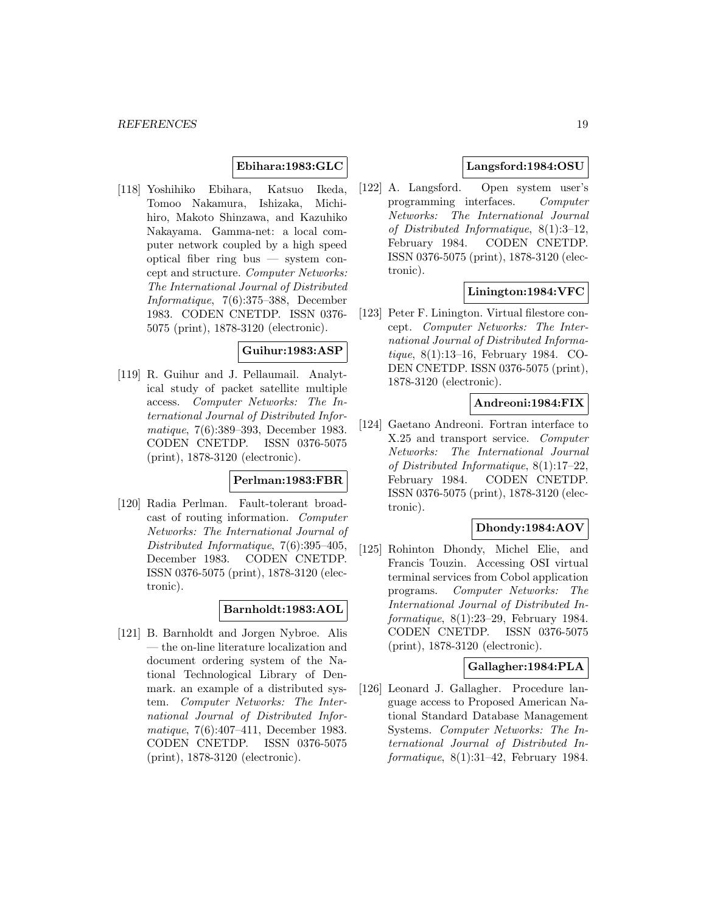### **Ebihara:1983:GLC**

[118] Yoshihiko Ebihara, Katsuo Ikeda, Tomoo Nakamura, Ishizaka, Michihiro, Makoto Shinzawa, and Kazuhiko Nakayama. Gamma-net: a local computer network coupled by a high speed optical fiber ring bus — system concept and structure. Computer Networks: The International Journal of Distributed Informatique, 7(6):375–388, December 1983. CODEN CNETDP. ISSN 0376- 5075 (print), 1878-3120 (electronic).

#### **Guihur:1983:ASP**

[119] R. Guihur and J. Pellaumail. Analytical study of packet satellite multiple access. Computer Networks: The International Journal of Distributed Informatique, 7(6):389–393, December 1983. CODEN CNETDP. ISSN 0376-5075 (print), 1878-3120 (electronic).

### **Perlman:1983:FBR**

[120] Radia Perlman. Fault-tolerant broadcast of routing information. Computer Networks: The International Journal of Distributed Informatique, 7(6):395–405, December 1983. CODEN CNETDP. ISSN 0376-5075 (print), 1878-3120 (electronic).

# **Barnholdt:1983:AOL**

[121] B. Barnholdt and Jorgen Nybroe. Alis — the on-line literature localization and document ordering system of the National Technological Library of Denmark. an example of a distributed system. Computer Networks: The International Journal of Distributed Informatique, 7(6):407–411, December 1983. CODEN CNETDP. ISSN 0376-5075 (print), 1878-3120 (electronic).

# **Langsford:1984:OSU**

[122] A. Langsford. Open system user's programming interfaces. Computer Networks: The International Journal of Distributed Informatique, 8(1):3–12, February 1984. CODEN CNETDP. ISSN 0376-5075 (print), 1878-3120 (electronic).

### **Linington:1984:VFC**

[123] Peter F. Linington. Virtual filestore concept. Computer Networks: The International Journal of Distributed Informatique, 8(1):13–16, February 1984. CO-DEN CNETDP. ISSN 0376-5075 (print), 1878-3120 (electronic).

# **Andreoni:1984:FIX**

[124] Gaetano Andreoni. Fortran interface to X.25 and transport service. Computer Networks: The International Journal of Distributed Informatique, 8(1):17–22, February 1984. CODEN CNETDP. ISSN 0376-5075 (print), 1878-3120 (electronic).

### **Dhondy:1984:AOV**

[125] Rohinton Dhondy, Michel Elie, and Francis Touzin. Accessing OSI virtual terminal services from Cobol application programs. Computer Networks: The International Journal of Distributed Informatique, 8(1):23–29, February 1984. CODEN CNETDP. ISSN 0376-5075 (print), 1878-3120 (electronic).

### **Gallagher:1984:PLA**

[126] Leonard J. Gallagher. Procedure language access to Proposed American National Standard Database Management Systems. Computer Networks: The International Journal of Distributed Informatique, 8(1):31–42, February 1984.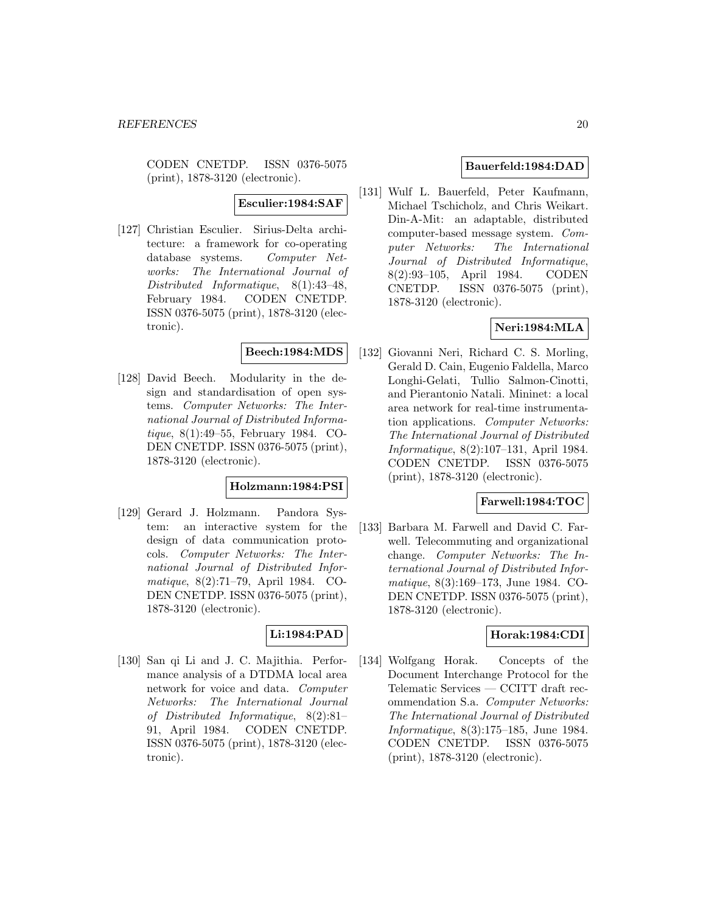CODEN CNETDP. ISSN 0376-5075 (print), 1878-3120 (electronic).

#### **Esculier:1984:SAF**

[127] Christian Esculier. Sirius-Delta architecture: a framework for co-operating database systems. Computer Networks: The International Journal of Distributed Informatique, 8(1):43–48, February 1984. CODEN CNETDP. ISSN 0376-5075 (print), 1878-3120 (electronic).

#### **Beech:1984:MDS**

[128] David Beech. Modularity in the design and standardisation of open systems. Computer Networks: The International Journal of Distributed Informatique, 8(1):49–55, February 1984. CO-DEN CNETDP. ISSN 0376-5075 (print), 1878-3120 (electronic).

### **Holzmann:1984:PSI**

[129] Gerard J. Holzmann. Pandora System: an interactive system for the design of data communication protocols. Computer Networks: The International Journal of Distributed Informatique, 8(2):71–79, April 1984. CO-DEN CNETDP. ISSN 0376-5075 (print), 1878-3120 (electronic).

# **Li:1984:PAD**

[130] San qi Li and J. C. Majithia. Performance analysis of a DTDMA local area network for voice and data. Computer Networks: The International Journal of Distributed Informatique, 8(2):81– 91, April 1984. CODEN CNETDP. ISSN 0376-5075 (print), 1878-3120 (electronic).

### **Bauerfeld:1984:DAD**

[131] Wulf L. Bauerfeld, Peter Kaufmann, Michael Tschicholz, and Chris Weikart. Din-A-Mit: an adaptable, distributed computer-based message system. Computer Networks: The International Journal of Distributed Informatique, 8(2):93–105, April 1984. CODEN CNETDP. ISSN 0376-5075 (print), 1878-3120 (electronic).

# **Neri:1984:MLA**

[132] Giovanni Neri, Richard C. S. Morling, Gerald D. Cain, Eugenio Faldella, Marco Longhi-Gelati, Tullio Salmon-Cinotti, and Pierantonio Natali. Mininet: a local area network for real-time instrumentation applications. Computer Networks: The International Journal of Distributed Informatique, 8(2):107–131, April 1984. CODEN CNETDP. ISSN 0376-5075 (print), 1878-3120 (electronic).

#### **Farwell:1984:TOC**

[133] Barbara M. Farwell and David C. Farwell. Telecommuting and organizational change. Computer Networks: The International Journal of Distributed Informatique, 8(3):169–173, June 1984. CO-DEN CNETDP. ISSN 0376-5075 (print), 1878-3120 (electronic).

# **Horak:1984:CDI**

[134] Wolfgang Horak. Concepts of the Document Interchange Protocol for the Telematic Services — CCITT draft recommendation S.a. Computer Networks: The International Journal of Distributed Informatique, 8(3):175–185, June 1984. CODEN CNETDP. ISSN 0376-5075 (print), 1878-3120 (electronic).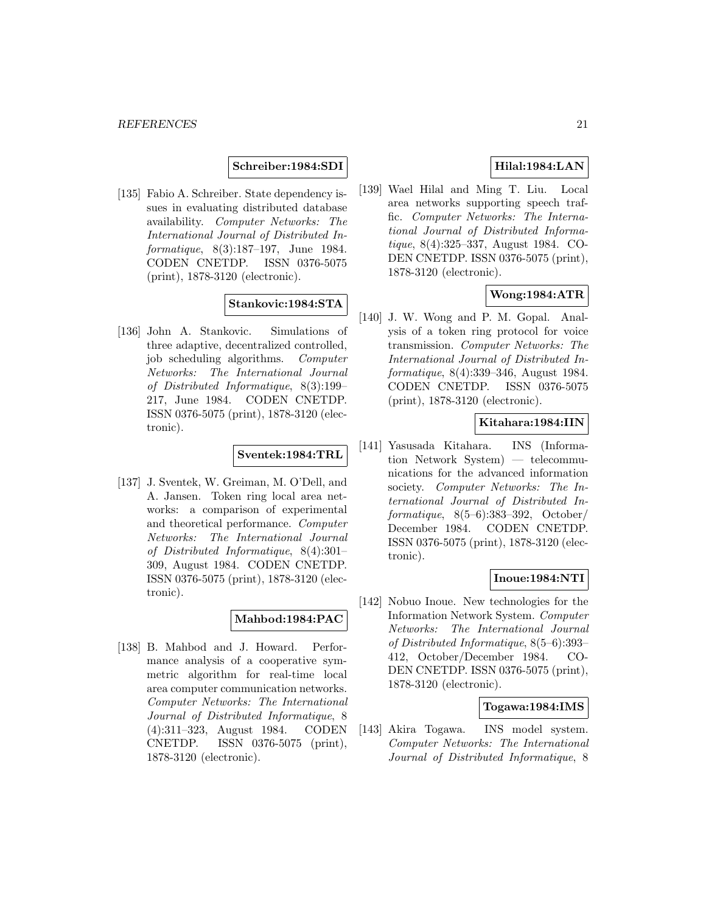### **Schreiber:1984:SDI**

[135] Fabio A. Schreiber. State dependency issues in evaluating distributed database availability. Computer Networks: The International Journal of Distributed Informatique, 8(3):187–197, June 1984. CODEN CNETDP. ISSN 0376-5075 (print), 1878-3120 (electronic).

# **Stankovic:1984:STA**

[136] John A. Stankovic. Simulations of three adaptive, decentralized controlled, job scheduling algorithms. Computer Networks: The International Journal of Distributed Informatique, 8(3):199– 217, June 1984. CODEN CNETDP. ISSN 0376-5075 (print), 1878-3120 (electronic).

### **Sventek:1984:TRL**

[137] J. Sventek, W. Greiman, M. O'Dell, and A. Jansen. Token ring local area networks: a comparison of experimental and theoretical performance. Computer Networks: The International Journal of Distributed Informatique, 8(4):301– 309, August 1984. CODEN CNETDP. ISSN 0376-5075 (print), 1878-3120 (electronic).

# **Mahbod:1984:PAC**

[138] B. Mahbod and J. Howard. Performance analysis of a cooperative symmetric algorithm for real-time local area computer communication networks. Computer Networks: The International Journal of Distributed Informatique, 8 (4):311–323, August 1984. CODEN CNETDP. ISSN 0376-5075 (print), 1878-3120 (electronic).

# **Hilal:1984:LAN**

[139] Wael Hilal and Ming T. Liu. Local area networks supporting speech traffic. Computer Networks: The International Journal of Distributed Informatique, 8(4):325–337, August 1984. CO-DEN CNETDP. ISSN 0376-5075 (print), 1878-3120 (electronic).

### **Wong:1984:ATR**

[140] J. W. Wong and P. M. Gopal. Analysis of a token ring protocol for voice transmission. Computer Networks: The International Journal of Distributed Informatique, 8(4):339–346, August 1984. CODEN CNETDP. ISSN 0376-5075 (print), 1878-3120 (electronic).

### **Kitahara:1984:IIN**

[141] Yasusada Kitahara. INS (Information Network System) — telecommunications for the advanced information society. Computer Networks: The International Journal of Distributed Informatique, 8(5–6):383–392, October/ December 1984. CODEN CNETDP. ISSN 0376-5075 (print), 1878-3120 (electronic).

### **Inoue:1984:NTI**

[142] Nobuo Inoue. New technologies for the Information Network System. Computer Networks: The International Journal of Distributed Informatique, 8(5–6):393– 412, October/December 1984. CO-DEN CNETDP. ISSN 0376-5075 (print), 1878-3120 (electronic).

### **Togawa:1984:IMS**

[143] Akira Togawa. INS model system. Computer Networks: The International Journal of Distributed Informatique, 8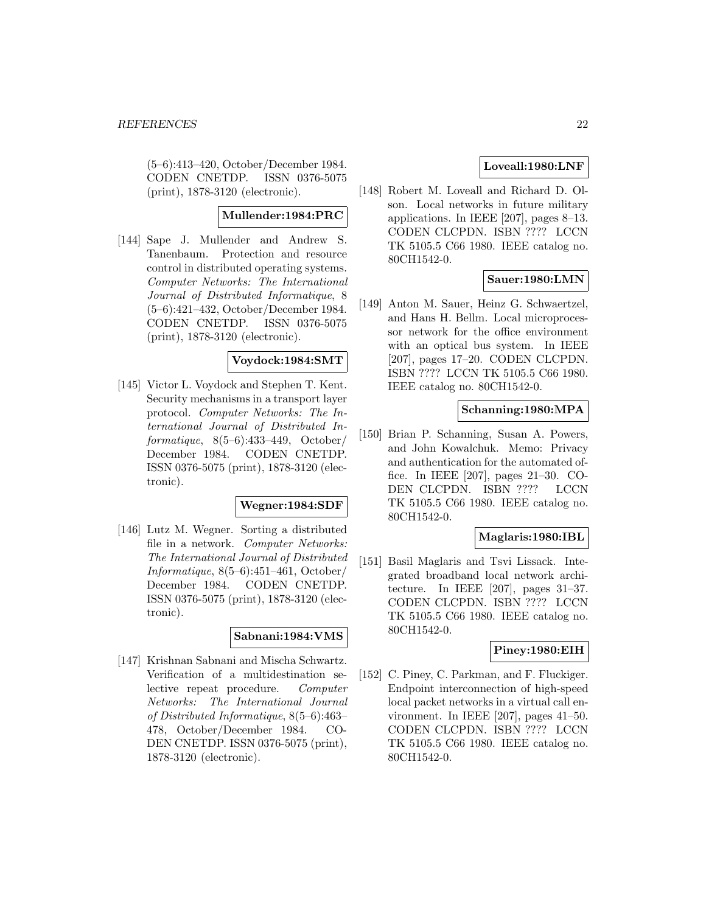(5–6):413–420, October/December 1984. CODEN CNETDP. ISSN 0376-5075 (print), 1878-3120 (electronic).

# **Mullender:1984:PRC**

[144] Sape J. Mullender and Andrew S. Tanenbaum. Protection and resource control in distributed operating systems. Computer Networks: The International Journal of Distributed Informatique, 8 (5–6):421–432, October/December 1984. CODEN CNETDP. ISSN 0376-5075 (print), 1878-3120 (electronic).

# **Voydock:1984:SMT**

[145] Victor L. Voydock and Stephen T. Kent. Security mechanisms in a transport layer protocol. Computer Networks: The International Journal of Distributed Informatique,  $8(5-6):433-449$ , October/ December 1984. CODEN CNETDP. ISSN 0376-5075 (print), 1878-3120 (electronic).

### **Wegner:1984:SDF**

[146] Lutz M. Wegner. Sorting a distributed file in a network. Computer Networks: The International Journal of Distributed Informatique, 8(5–6):451–461, October/ December 1984. CODEN CNETDP. ISSN 0376-5075 (print), 1878-3120 (electronic).

### **Sabnani:1984:VMS**

[147] Krishnan Sabnani and Mischa Schwartz. Verification of a multidestination selective repeat procedure. Computer Networks: The International Journal of Distributed Informatique, 8(5–6):463– 478, October/December 1984. CO-DEN CNETDP. ISSN 0376-5075 (print), 1878-3120 (electronic).

# **Loveall:1980:LNF**

[148] Robert M. Loveall and Richard D. Olson. Local networks in future military applications. In IEEE [207], pages 8–13. CODEN CLCPDN. ISBN ???? LCCN TK 5105.5 C66 1980. IEEE catalog no. 80CH1542-0.

### **Sauer:1980:LMN**

[149] Anton M. Sauer, Heinz G. Schwaertzel, and Hans H. Bellm. Local microprocessor network for the office environment with an optical bus system. In IEEE [207], pages 17–20. CODEN CLCPDN. ISBN ???? LCCN TK 5105.5 C66 1980. IEEE catalog no. 80CH1542-0.

# **Schanning:1980:MPA**

[150] Brian P. Schanning, Susan A. Powers, and John Kowalchuk. Memo: Privacy and authentication for the automated office. In IEEE [207], pages 21–30. CO-DEN CLCPDN. ISBN ???? LCCN TK 5105.5 C66 1980. IEEE catalog no. 80CH1542-0.

# **Maglaris:1980:IBL**

[151] Basil Maglaris and Tsvi Lissack. Integrated broadband local network architecture. In IEEE [207], pages 31–37. CODEN CLCPDN. ISBN ???? LCCN TK 5105.5 C66 1980. IEEE catalog no. 80CH1542-0.

#### **Piney:1980:EIH**

[152] C. Piney, C. Parkman, and F. Fluckiger. Endpoint interconnection of high-speed local packet networks in a virtual call environment. In IEEE [207], pages 41–50. CODEN CLCPDN. ISBN ???? LCCN TK 5105.5 C66 1980. IEEE catalog no. 80CH1542-0.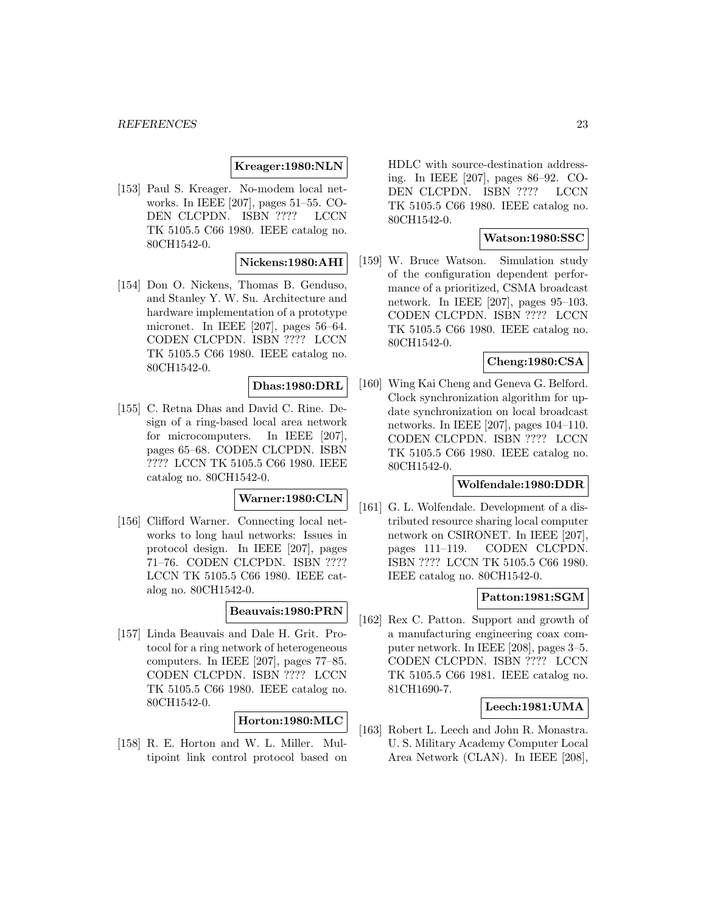### **Kreager:1980:NLN**

[153] Paul S. Kreager. No-modem local networks. In IEEE [207], pages 51–55. CO-DEN CLCPDN. ISBN ???? LCCN TK 5105.5 C66 1980. IEEE catalog no. 80CH1542-0.

### **Nickens:1980:AHI**

[154] Don O. Nickens, Thomas B. Genduso, and Stanley Y. W. Su. Architecture and hardware implementation of a prototype micronet. In IEEE [207], pages 56–64. CODEN CLCPDN. ISBN ???? LCCN TK 5105.5 C66 1980. IEEE catalog no. 80CH1542-0.

#### **Dhas:1980:DRL**

[155] C. Retna Dhas and David C. Rine. Design of a ring-based local area network for microcomputers. In IEEE [207], pages 65–68. CODEN CLCPDN. ISBN ???? LCCN TK 5105.5 C66 1980. IEEE catalog no. 80CH1542-0.

### **Warner:1980:CLN**

[156] Clifford Warner. Connecting local networks to long haul networks: Issues in protocol design. In IEEE [207], pages 71–76. CODEN CLCPDN. ISBN ???? LCCN TK 5105.5 C66 1980. IEEE catalog no. 80CH1542-0.

#### **Beauvais:1980:PRN**

[157] Linda Beauvais and Dale H. Grit. Protocol for a ring network of heterogeneous computers. In IEEE [207], pages 77–85. CODEN CLCPDN. ISBN ???? LCCN TK 5105.5 C66 1980. IEEE catalog no. 80CH1542-0.

#### **Horton:1980:MLC**

[158] R. E. Horton and W. L. Miller. Multipoint link control protocol based on HDLC with source-destination addressing. In IEEE [207], pages 86–92. CO-DEN CLCPDN. ISBN ???? LCCN TK 5105.5 C66 1980. IEEE catalog no. 80CH1542-0.

### **Watson:1980:SSC**

[159] W. Bruce Watson. Simulation study of the configuration dependent performance of a prioritized, CSMA broadcast network. In IEEE [207], pages 95–103. CODEN CLCPDN. ISBN ???? LCCN TK 5105.5 C66 1980. IEEE catalog no. 80CH1542-0.

# **Cheng:1980:CSA**

[160] Wing Kai Cheng and Geneva G. Belford. Clock synchronization algorithm for update synchronization on local broadcast networks. In IEEE [207], pages 104–110. CODEN CLCPDN. ISBN ???? LCCN TK 5105.5 C66 1980. IEEE catalog no. 80CH1542-0.

### **Wolfendale:1980:DDR**

[161] G. L. Wolfendale. Development of a distributed resource sharing local computer network on CSIRONET. In IEEE [207], pages 111–119. CODEN CLCPDN. ISBN ???? LCCN TK 5105.5 C66 1980. IEEE catalog no. 80CH1542-0.

### **Patton:1981:SGM**

[162] Rex C. Patton. Support and growth of a manufacturing engineering coax computer network. In IEEE [208], pages 3–5. CODEN CLCPDN. ISBN ???? LCCN TK 5105.5 C66 1981. IEEE catalog no. 81CH1690-7.

# **Leech:1981:UMA**

[163] Robert L. Leech and John R. Monastra. U. S. Military Academy Computer Local Area Network (CLAN). In IEEE [208],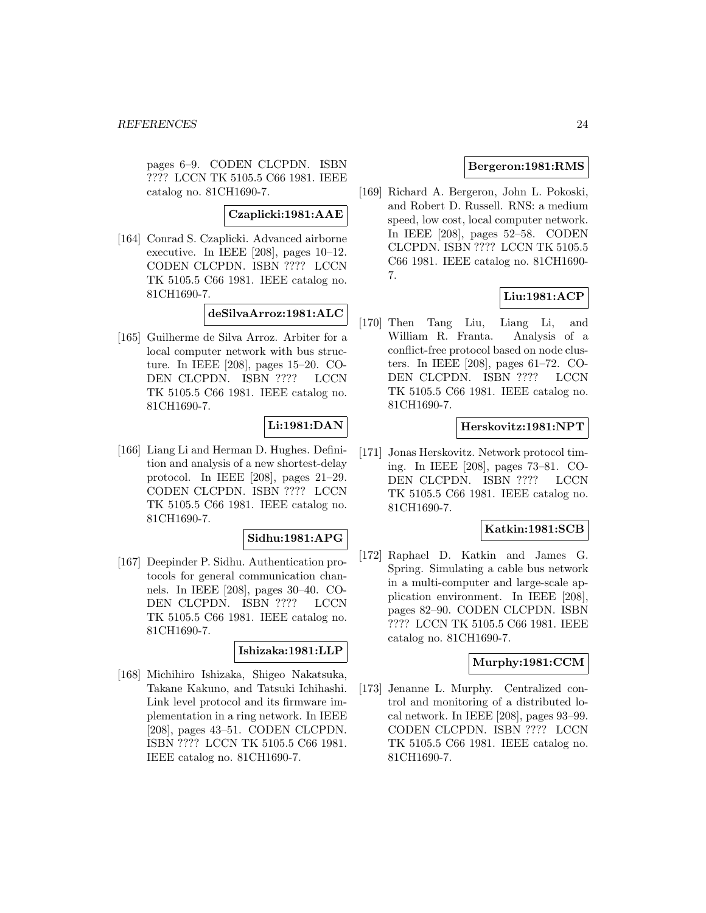pages 6–9. CODEN CLCPDN. ISBN ???? LCCN TK 5105.5 C66 1981. IEEE catalog no. 81CH1690-7.

#### **Czaplicki:1981:AAE**

[164] Conrad S. Czaplicki. Advanced airborne executive. In IEEE [208], pages 10–12. CODEN CLCPDN. ISBN ???? LCCN TK 5105.5 C66 1981. IEEE catalog no. 81CH1690-7.

#### **deSilvaArroz:1981:ALC**

[165] Guilherme de Silva Arroz. Arbiter for a local computer network with bus structure. In IEEE [208], pages 15–20. CO-DEN CLCPDN. ISBN ???? LCCN TK 5105.5 C66 1981. IEEE catalog no. 81CH1690-7.

### **Li:1981:DAN**

[166] Liang Li and Herman D. Hughes. Definition and analysis of a new shortest-delay protocol. In IEEE [208], pages 21–29. CODEN CLCPDN. ISBN ???? LCCN TK 5105.5 C66 1981. IEEE catalog no. 81CH1690-7.

### **Sidhu:1981:APG**

[167] Deepinder P. Sidhu. Authentication protocols for general communication channels. In IEEE [208], pages 30–40. CO-DEN CLCPDN. ISBN ???? LCCN TK 5105.5 C66 1981. IEEE catalog no. 81CH1690-7.

#### **Ishizaka:1981:LLP**

[168] Michihiro Ishizaka, Shigeo Nakatsuka, Takane Kakuno, and Tatsuki Ichihashi. Link level protocol and its firmware implementation in a ring network. In IEEE [208], pages 43–51. CODEN CLCPDN. ISBN ???? LCCN TK 5105.5 C66 1981. IEEE catalog no. 81CH1690-7.

# **Bergeron:1981:RMS**

[169] Richard A. Bergeron, John L. Pokoski, and Robert D. Russell. RNS: a medium speed, low cost, local computer network. In IEEE [208], pages 52–58. CODEN CLCPDN. ISBN ???? LCCN TK 5105.5 C66 1981. IEEE catalog no. 81CH1690- 7.

# **Liu:1981:ACP**

[170] Then Tang Liu, Liang Li, and William R. Franta. Analysis of a conflict-free protocol based on node clusters. In IEEE [208], pages 61–72. CO-DEN CLCPDN. ISBN ???? LCCN TK 5105.5 C66 1981. IEEE catalog no. 81CH1690-7.

#### **Herskovitz:1981:NPT**

[171] Jonas Herskovitz. Network protocol timing. In IEEE [208], pages 73–81. CO-DEN CLCPDN. ISBN ???? LCCN TK 5105.5 C66 1981. IEEE catalog no. 81CH1690-7.

### **Katkin:1981:SCB**

[172] Raphael D. Katkin and James G. Spring. Simulating a cable bus network in a multi-computer and large-scale application environment. In IEEE [208], pages 82–90. CODEN CLCPDN. ISBN ???? LCCN TK 5105.5 C66 1981. IEEE catalog no. 81CH1690-7.

### **Murphy:1981:CCM**

[173] Jenanne L. Murphy. Centralized control and monitoring of a distributed local network. In IEEE [208], pages 93–99. CODEN CLCPDN. ISBN ???? LCCN TK 5105.5 C66 1981. IEEE catalog no. 81CH1690-7.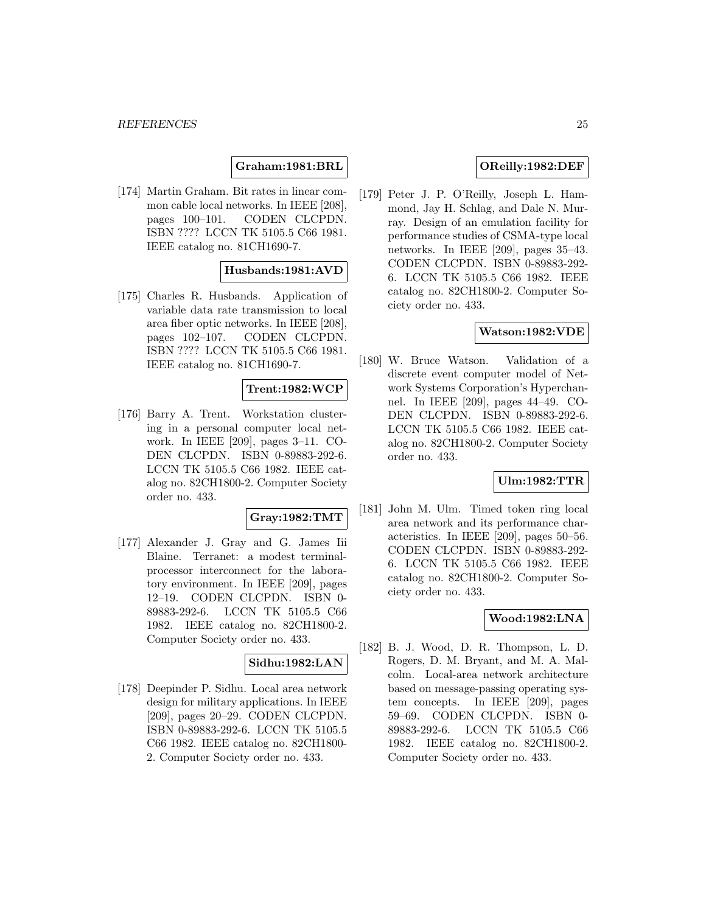**Graham:1981:BRL**

[174] Martin Graham. Bit rates in linear common cable local networks. In IEEE [208], pages 100–101. CODEN CLCPDN. ISBN ???? LCCN TK 5105.5 C66 1981. IEEE catalog no. 81CH1690-7.

#### **Husbands:1981:AVD**

[175] Charles R. Husbands. Application of variable data rate transmission to local area fiber optic networks. In IEEE [208], pages 102–107. CODEN CLCPDN. ISBN ???? LCCN TK 5105.5 C66 1981. IEEE catalog no. 81CH1690-7.

#### **Trent:1982:WCP**

[176] Barry A. Trent. Workstation clustering in a personal computer local network. In IEEE [209], pages 3–11. CO-DEN CLCPDN. ISBN 0-89883-292-6. LCCN TK 5105.5 C66 1982. IEEE catalog no. 82CH1800-2. Computer Society order no. 433.

#### **Gray:1982:TMT**

[177] Alexander J. Gray and G. James Iii Blaine. Terranet: a modest terminalprocessor interconnect for the laboratory environment. In IEEE [209], pages 12–19. CODEN CLCPDN. ISBN 0- 89883-292-6. LCCN TK 5105.5 C66 1982. IEEE catalog no. 82CH1800-2. Computer Society order no. 433.

### **Sidhu:1982:LAN**

[178] Deepinder P. Sidhu. Local area network design for military applications. In IEEE [209], pages 20–29. CODEN CLCPDN. ISBN 0-89883-292-6. LCCN TK 5105.5 C66 1982. IEEE catalog no. 82CH1800- 2. Computer Society order no. 433.

### **OReilly:1982:DEF**

[179] Peter J. P. O'Reilly, Joseph L. Hammond, Jay H. Schlag, and Dale N. Murray. Design of an emulation facility for performance studies of CSMA-type local networks. In IEEE [209], pages 35–43. CODEN CLCPDN. ISBN 0-89883-292- 6. LCCN TK 5105.5 C66 1982. IEEE catalog no. 82CH1800-2. Computer Society order no. 433.

### **Watson:1982:VDE**

[180] W. Bruce Watson. Validation of a discrete event computer model of Network Systems Corporation's Hyperchannel. In IEEE [209], pages 44–49. CO-DEN CLCPDN. ISBN 0-89883-292-6. LCCN TK 5105.5 C66 1982. IEEE catalog no. 82CH1800-2. Computer Society order no. 433.

### **Ulm:1982:TTR**

[181] John M. Ulm. Timed token ring local area network and its performance characteristics. In IEEE [209], pages 50–56. CODEN CLCPDN. ISBN 0-89883-292- 6. LCCN TK 5105.5 C66 1982. IEEE catalog no. 82CH1800-2. Computer Society order no. 433.

#### **Wood:1982:LNA**

[182] B. J. Wood, D. R. Thompson, L. D. Rogers, D. M. Bryant, and M. A. Malcolm. Local-area network architecture based on message-passing operating system concepts. In IEEE [209], pages 59–69. CODEN CLCPDN. ISBN 0- 89883-292-6. LCCN TK 5105.5 C66 1982. IEEE catalog no. 82CH1800-2. Computer Society order no. 433.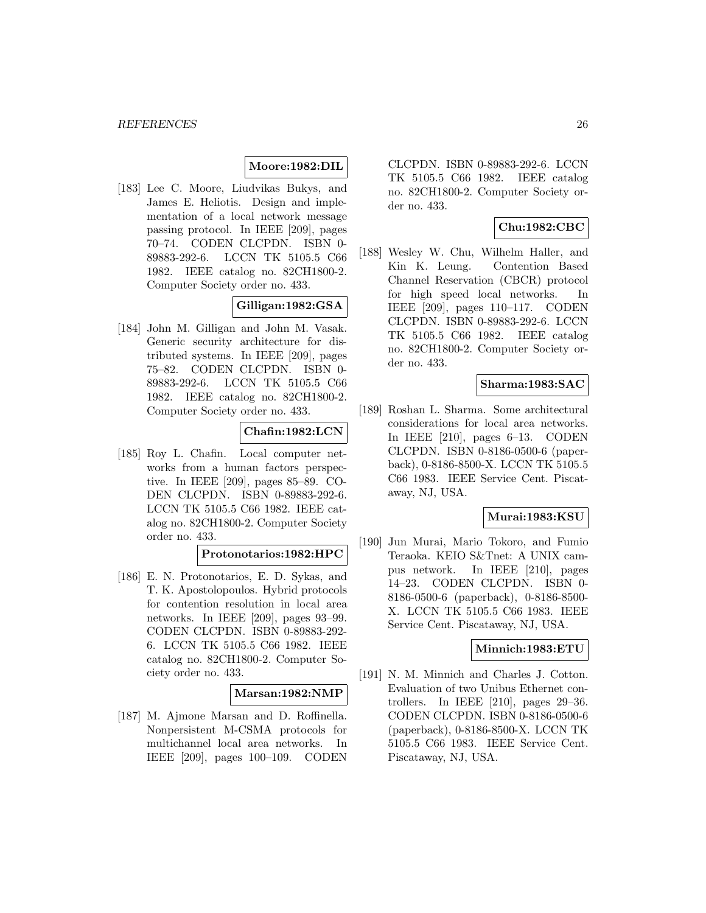### **Moore:1982:DIL**

[183] Lee C. Moore, Liudvikas Bukys, and James E. Heliotis. Design and implementation of a local network message passing protocol. In IEEE [209], pages 70–74. CODEN CLCPDN. ISBN 0- 89883-292-6. LCCN TK 5105.5 C66 1982. IEEE catalog no. 82CH1800-2. Computer Society order no. 433.

# **Gilligan:1982:GSA**

[184] John M. Gilligan and John M. Vasak. Generic security architecture for distributed systems. In IEEE [209], pages 75–82. CODEN CLCPDN. ISBN 0- 89883-292-6. LCCN TK 5105.5 C66 1982. IEEE catalog no. 82CH1800-2. Computer Society order no. 433.

# **Chafin:1982:LCN**

[185] Roy L. Chafin. Local computer networks from a human factors perspective. In IEEE [209], pages 85–89. CO-DEN CLCPDN. ISBN 0-89883-292-6. LCCN TK 5105.5 C66 1982. IEEE catalog no. 82CH1800-2. Computer Society order no. 433.

### **Protonotarios:1982:HPC**

[186] E. N. Protonotarios, E. D. Sykas, and T. K. Apostolopoulos. Hybrid protocols for contention resolution in local area networks. In IEEE [209], pages 93–99. CODEN CLCPDN. ISBN 0-89883-292- 6. LCCN TK 5105.5 C66 1982. IEEE catalog no. 82CH1800-2. Computer Society order no. 433.

#### **Marsan:1982:NMP**

[187] M. Ajmone Marsan and D. Roffinella. Nonpersistent M-CSMA protocols for multichannel local area networks. In IEEE [209], pages 100–109. CODEN

CLCPDN. ISBN 0-89883-292-6. LCCN TK 5105.5 C66 1982. IEEE catalog no. 82CH1800-2. Computer Society order no. 433.

# **Chu:1982:CBC**

[188] Wesley W. Chu, Wilhelm Haller, and Kin K. Leung. Contention Based Channel Reservation (CBCR) protocol for high speed local networks. In IEEE [209], pages 110–117. CODEN CLCPDN. ISBN 0-89883-292-6. LCCN TK 5105.5 C66 1982. IEEE catalog no. 82CH1800-2. Computer Society order no. 433.

### **Sharma:1983:SAC**

[189] Roshan L. Sharma. Some architectural considerations for local area networks. In IEEE [210], pages 6–13. CODEN CLCPDN. ISBN 0-8186-0500-6 (paperback), 0-8186-8500-X. LCCN TK 5105.5 C66 1983. IEEE Service Cent. Piscataway, NJ, USA.

### **Murai:1983:KSU**

[190] Jun Murai, Mario Tokoro, and Fumio Teraoka. KEIO S&Tnet: A UNIX campus network. In IEEE [210], pages 14–23. CODEN CLCPDN. ISBN 0- 8186-0500-6 (paperback), 0-8186-8500- X. LCCN TK 5105.5 C66 1983. IEEE Service Cent. Piscataway, NJ, USA.

#### **Minnich:1983:ETU**

[191] N. M. Minnich and Charles J. Cotton. Evaluation of two Unibus Ethernet controllers. In IEEE [210], pages 29–36. CODEN CLCPDN. ISBN 0-8186-0500-6 (paperback), 0-8186-8500-X. LCCN TK 5105.5 C66 1983. IEEE Service Cent. Piscataway, NJ, USA.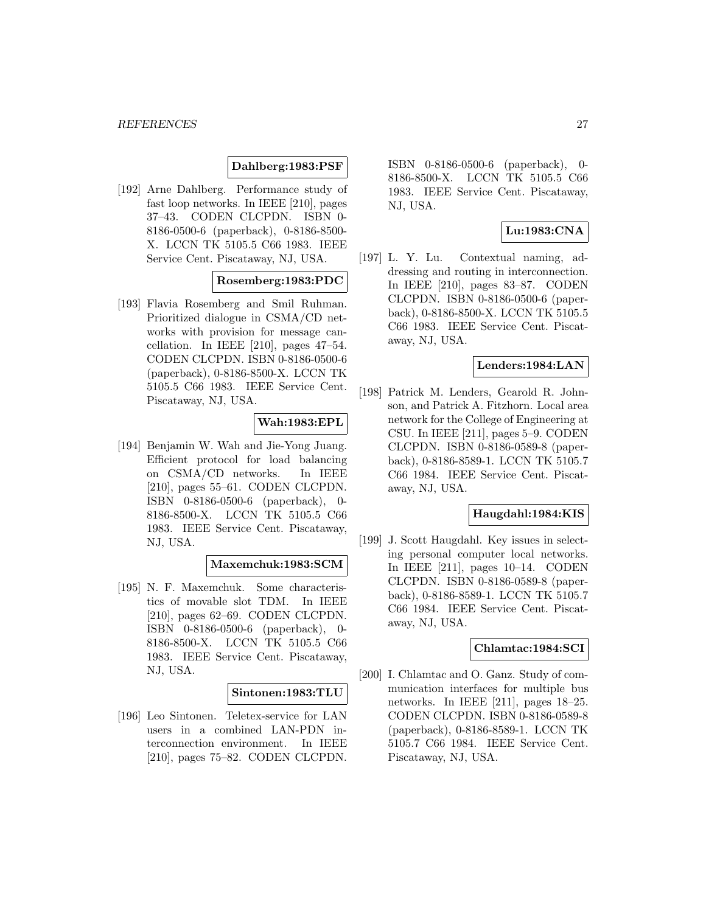### **Dahlberg:1983:PSF**

[192] Arne Dahlberg. Performance study of fast loop networks. In IEEE [210], pages 37–43. CODEN CLCPDN. ISBN 0- 8186-0500-6 (paperback), 0-8186-8500- X. LCCN TK 5105.5 C66 1983. IEEE Service Cent. Piscataway, NJ, USA.

### **Rosemberg:1983:PDC**

[193] Flavia Rosemberg and Smil Ruhman. Prioritized dialogue in CSMA/CD networks with provision for message cancellation. In IEEE [210], pages 47–54. CODEN CLCPDN. ISBN 0-8186-0500-6 (paperback), 0-8186-8500-X. LCCN TK 5105.5 C66 1983. IEEE Service Cent. Piscataway, NJ, USA.

### **Wah:1983:EPL**

[194] Benjamin W. Wah and Jie-Yong Juang. Efficient protocol for load balancing on CSMA/CD networks. In IEEE [210], pages 55–61. CODEN CLCPDN. ISBN 0-8186-0500-6 (paperback), 0- 8186-8500-X. LCCN TK 5105.5 C66 1983. IEEE Service Cent. Piscataway, NJ, USA.

#### **Maxemchuk:1983:SCM**

[195] N. F. Maxemchuk. Some characteristics of movable slot TDM. In IEEE [210], pages 62–69. CODEN CLCPDN. ISBN 0-8186-0500-6 (paperback), 0- 8186-8500-X. LCCN TK 5105.5 C66 1983. IEEE Service Cent. Piscataway, NJ, USA.

#### **Sintonen:1983:TLU**

[196] Leo Sintonen. Teletex-service for LAN users in a combined LAN-PDN interconnection environment. In IEEE [210], pages 75–82. CODEN CLCPDN.

ISBN 0-8186-0500-6 (paperback), 0- 8186-8500-X. LCCN TK 5105.5 C66 1983. IEEE Service Cent. Piscataway, NJ, USA.

### **Lu:1983:CNA**

[197] L. Y. Lu. Contextual naming, addressing and routing in interconnection. In IEEE [210], pages 83–87. CODEN CLCPDN. ISBN 0-8186-0500-6 (paperback), 0-8186-8500-X. LCCN TK 5105.5 C66 1983. IEEE Service Cent. Piscataway, NJ, USA.

# **Lenders:1984:LAN**

[198] Patrick M. Lenders, Gearold R. Johnson, and Patrick A. Fitzhorn. Local area network for the College of Engineering at CSU. In IEEE [211], pages 5–9. CODEN CLCPDN. ISBN 0-8186-0589-8 (paperback), 0-8186-8589-1. LCCN TK 5105.7 C66 1984. IEEE Service Cent. Piscataway, NJ, USA.

### **Haugdahl:1984:KIS**

[199] J. Scott Haugdahl. Key issues in selecting personal computer local networks. In IEEE [211], pages 10–14. CODEN CLCPDN. ISBN 0-8186-0589-8 (paperback), 0-8186-8589-1. LCCN TK 5105.7 C66 1984. IEEE Service Cent. Piscataway, NJ, USA.

### **Chlamtac:1984:SCI**

[200] I. Chlamtac and O. Ganz. Study of communication interfaces for multiple bus networks. In IEEE [211], pages 18–25. CODEN CLCPDN. ISBN 0-8186-0589-8 (paperback), 0-8186-8589-1. LCCN TK 5105.7 C66 1984. IEEE Service Cent. Piscataway, NJ, USA.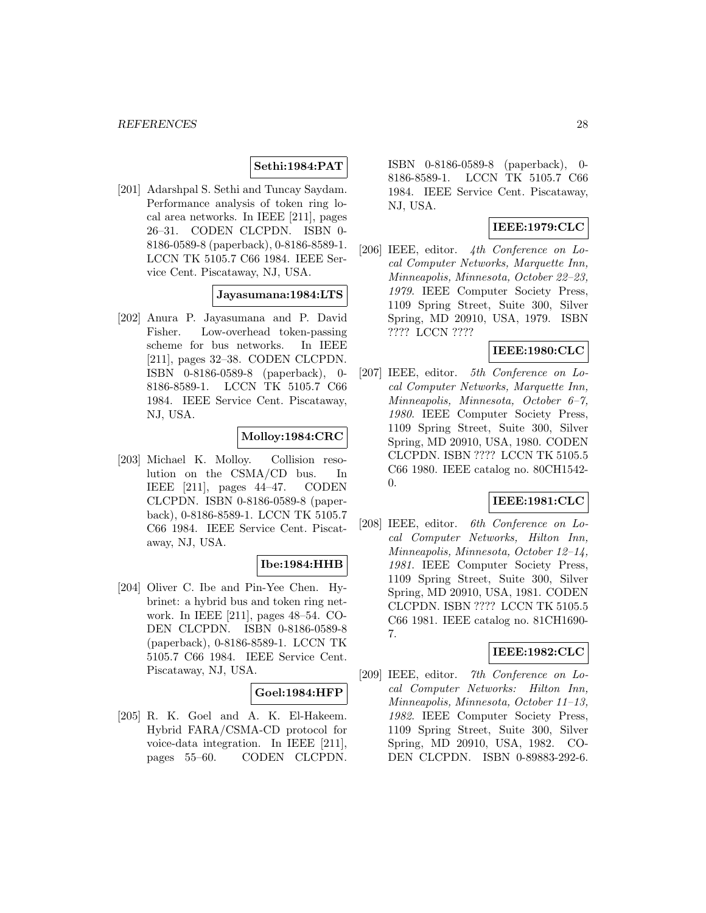# **Sethi:1984:PAT**

[201] Adarshpal S. Sethi and Tuncay Saydam. Performance analysis of token ring local area networks. In IEEE [211], pages 26–31. CODEN CLCPDN. ISBN 0- 8186-0589-8 (paperback), 0-8186-8589-1. LCCN TK 5105.7 C66 1984. IEEE Service Cent. Piscataway, NJ, USA.

# **Jayasumana:1984:LTS**

[202] Anura P. Jayasumana and P. David Fisher. Low-overhead token-passing scheme for bus networks. In IEEE [211], pages 32–38. CODEN CLCPDN. ISBN 0-8186-0589-8 (paperback), 0- 8186-8589-1. LCCN TK 5105.7 C66 1984. IEEE Service Cent. Piscataway, NJ, USA.

# **Molloy:1984:CRC**

[203] Michael K. Molloy. Collision resolution on the CSMA/CD bus. In IEEE [211], pages 44–47. CODEN CLCPDN. ISBN 0-8186-0589-8 (paperback), 0-8186-8589-1. LCCN TK 5105.7 C66 1984. IEEE Service Cent. Piscataway, NJ, USA.

# **Ibe:1984:HHB**

[204] Oliver C. Ibe and Pin-Yee Chen. Hybrinet: a hybrid bus and token ring network. In IEEE [211], pages 48–54. CO-DEN CLCPDN. ISBN 0-8186-0589-8 (paperback), 0-8186-8589-1. LCCN TK 5105.7 C66 1984. IEEE Service Cent. Piscataway, NJ, USA.

#### **Goel:1984:HFP**

[205] R. K. Goel and A. K. El-Hakeem. Hybrid FARA/CSMA-CD protocol for voice-data integration. In IEEE [211], pages 55–60. CODEN CLCPDN.

ISBN 0-8186-0589-8 (paperback), 0- 8186-8589-1. LCCN TK 5105.7 C66 1984. IEEE Service Cent. Piscataway, NJ, USA.

# **IEEE:1979:CLC**

[206] IEEE, editor. 4th Conference on Local Computer Networks, Marquette Inn, Minneapolis, Minnesota, October 22–23, 1979. IEEE Computer Society Press, 1109 Spring Street, Suite 300, Silver Spring, MD 20910, USA, 1979. ISBN ???? LCCN ????

#### **IEEE:1980:CLC**

[207] IEEE, editor. 5th Conference on Local Computer Networks, Marquette Inn, Minneapolis, Minnesota, October 6–7, 1980. IEEE Computer Society Press, 1109 Spring Street, Suite 300, Silver Spring, MD 20910, USA, 1980. CODEN CLCPDN. ISBN ???? LCCN TK 5105.5 C66 1980. IEEE catalog no. 80CH1542- 0.

### **IEEE:1981:CLC**

[208] IEEE, editor. 6th Conference on Local Computer Networks, Hilton Inn, Minneapolis, Minnesota, October 12–14, 1981. IEEE Computer Society Press, 1109 Spring Street, Suite 300, Silver Spring, MD 20910, USA, 1981. CODEN CLCPDN. ISBN ???? LCCN TK 5105.5 C66 1981. IEEE catalog no. 81CH1690- 7.

### **IEEE:1982:CLC**

[209] IEEE, editor. 7th Conference on Local Computer Networks: Hilton Inn, Minneapolis, Minnesota, October 11–13, 1982. IEEE Computer Society Press, 1109 Spring Street, Suite 300, Silver Spring, MD 20910, USA, 1982. CO-DEN CLCPDN. ISBN 0-89883-292-6.